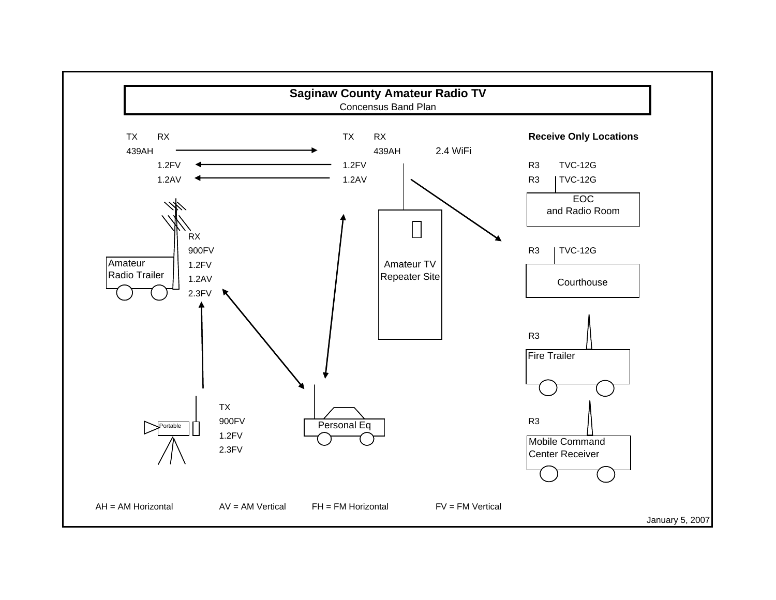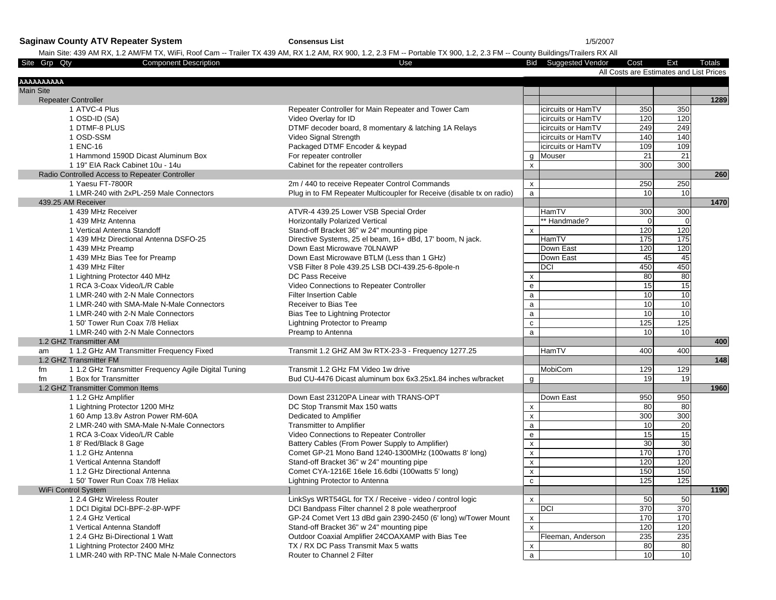**Saginaw County ATV Repeater System Consensus List** 1/5/2007

### Main Site: 439 AM RX, 1.2 AM/FM TX, WiFi, Roof Cam -- Trailer TX 439 AM, RX 1.2 AM, RX 900, 1.2, 2.3 FM -- Portable TX 900, 1.2, 2.3 FM -- County Buildings/Trailers RX All

| Site Grp Qty<br><b>Component Description</b>               | Use                                                                   |                    | <b>Bid</b> Suggested Vendor | Cost                                    | Ext              | Totals |
|------------------------------------------------------------|-----------------------------------------------------------------------|--------------------|-----------------------------|-----------------------------------------|------------------|--------|
|                                                            |                                                                       |                    |                             | All Costs are Estimates and List Prices |                  |        |
| AAAAAAAAA                                                  |                                                                       |                    |                             |                                         |                  |        |
| <b>Main Site</b>                                           |                                                                       |                    |                             |                                         |                  |        |
| <b>Repeater Controller</b>                                 |                                                                       |                    |                             |                                         |                  | 1289   |
| 1 ATVC-4 Plus                                              | Repeater Controller for Main Repeater and Tower Cam                   |                    | icircuits or HamTV          | 350                                     | 350              |        |
| 1 OSD-ID (SA)                                              | Video Overlay for ID                                                  |                    | icircuits or HamTV          | 120                                     | 120              |        |
| 1 DTMF-8 PLUS                                              | DTMF decoder board, 8 momentary & latching 1A Relays                  |                    | icircuits or HamTV          | 249                                     | 249              |        |
| 1 OSD-SSM                                                  | Video Signal Strength                                                 |                    | icircuits or HamTV          | 140                                     | 140              |        |
| 1 ENC-16                                                   | Packaged DTMF Encoder & keypad                                        |                    | icircuits or HamTV          | 109                                     | 109              |        |
| 1 Hammond 1590D Dicast Aluminum Box                        | For repeater controller                                               | a                  | Mouser                      | 21                                      | 21               |        |
| 1 19" EIA Rack Cabinet 10u - 14u                           | Cabinet for the repeater controllers                                  | $\mathsf{x}$       |                             | 300                                     | 300              |        |
| Radio Controlled Access to Repeater Controller             |                                                                       |                    |                             |                                         |                  | 260    |
| 1 Yaesu FT-7800R                                           | 2m / 440 to receive Repeater Control Commands                         | $\pmb{\mathsf{x}}$ |                             | 250                                     | 250              |        |
| 1 LMR-240 with 2xPL-259 Male Connectors                    | Plug in to FM Repeater Multicoupler for Receive (disable tx on radio) | $\overline{a}$     |                             | 10                                      | 10               |        |
| 439.25 AM Receiver                                         |                                                                       |                    |                             |                                         |                  | 1470   |
| 1 439 MHz Receiver                                         | ATVR-4 439.25 Lower VSB Special Order                                 |                    | HamTV                       | 300                                     | 300              |        |
| 1 439 MHz Antenna                                          | <b>Horizontally Polarized Vertical</b>                                |                    | * Handmade?                 | $\Omega$                                | $\mathbf 0$      |        |
| 1 Vertical Antenna Standoff                                | Stand-off Bracket 36" w 24" mounting pipe                             | x                  |                             | 120                                     | 120              |        |
| 1 439 MHz Directional Antenna DSFO-25                      | Directive Systems, 25 el beam, 16+ dBd, 17' boom, N jack.             |                    | HamTV                       | 175                                     | 175              |        |
| 1 439 MHz Preamp                                           | Down East Microwave 70LNAWP                                           |                    | Down East                   | 120                                     | 120              |        |
| 1 439 MHz Bias Tee for Preamp                              | Down East Microwave BTLM (Less than 1 GHz)                            |                    | Down East                   | 45                                      | 45               |        |
| 1 439 MHz Filter                                           | VSB Filter 8 Pole 439.25 LSB DCI-439.25-6-8pole-n                     |                    | DCI                         | 450                                     | 450              |        |
| 1 Lightning Protector 440 MHz                              | DC Pass Receive                                                       |                    |                             | 80                                      | 80               |        |
| 1 RCA 3-Coax Video/L/R Cable                               | Video Connections to Repeater Controller                              | X<br>e             |                             | 15                                      | 15               |        |
|                                                            | <b>Filter Insertion Cable</b>                                         | $\mathsf{a}$       |                             | 10                                      | 10               |        |
| 1 LMR-240 with 2-N Male Connectors                         |                                                                       |                    |                             |                                         |                  |        |
| 1 LMR-240 with SMA-Male N-Male Connectors                  | Receiver to Bias Tee                                                  | a                  |                             | 10                                      | 10               |        |
| 1 LMR-240 with 2-N Male Connectors                         | Bias Tee to Lightning Protector                                       | $\mathsf{a}$       |                             | 10                                      | 10               |        |
| 1 50' Tower Run Coax 7/8 Heliax                            | Lightning Protector to Preamp                                         | $\mathtt{C}$       |                             | 125                                     | 125              |        |
| 1 LMR-240 with 2-N Male Connectors                         | Preamp to Antenna                                                     | $\mathsf{a}$       |                             | 10 <sup>1</sup>                         | 10               |        |
| 1.2 GHZ Transmitter AM                                     |                                                                       |                    |                             |                                         |                  | 400    |
| 1 1.2 GHz AM Transmitter Frequency Fixed<br>am             | Transmit 1.2 GHZ AM 3w RTX-23-3 - Frequency 1277.25                   |                    | HamTV                       | 400                                     | 400              |        |
| 1.2 GHZ Transmitter FM                                     |                                                                       |                    |                             |                                         |                  | 148    |
| 1 1.2 GHz Transmitter Frequency Agile Digital Tuning<br>fm | Transmit 1.2 GHz FM Video 1w drive                                    |                    | MobiCom                     | 129                                     | 129              |        |
| 1 Box for Transmitter<br>fm                                | Bud CU-4476 Dicast aluminum box 6x3.25x1.84 inches w/bracket          | g                  |                             | 19                                      | 19               |        |
| 1.2 GHZ Transmitter Common Items                           |                                                                       |                    |                             |                                         |                  | 1960   |
| 1 1.2 GHz Amplifier                                        | Down East 23120PA Linear with TRANS-OPT                               |                    | Down East                   | 950                                     | 950              |        |
| 1 Lightning Protector 1200 MHz                             | DC Stop Transmit Max 150 watts                                        | X                  |                             | 80                                      | 80               |        |
| 1 60 Amp 13.8v Astron Power RM-60A                         | Dedicated to Amplifier                                                | $\mathsf{x}$       |                             | 300                                     | $\overline{300}$ |        |
| 2 LMR-240 with SMA-Male N-Male Connectors                  | <b>Transmitter to Amplifier</b>                                       | $\mathsf{a}$       |                             | 10                                      | 20               |        |
| 1 RCA 3-Coax Video/L/R Cable                               | Video Connections to Repeater Controller                              | e                  |                             | 15                                      | 15               |        |
| 1 8' Red/Black 8 Gage                                      | Battery Cables (From Power Supply to Amplifier)                       | $\pmb{\mathsf{x}}$ |                             | 30                                      | 30               |        |
| 1 1.2 GHz Antenna                                          | Comet GP-21 Mono Band 1240-1300MHz (100watts 8' long)                 | $\pmb{\mathsf{x}}$ |                             | 170                                     | 170              |        |
| 1 Vertical Antenna Standoff                                | Stand-off Bracket 36" w 24" mounting pipe                             | $\mathsf X$        |                             | 120                                     | 120              |        |
| 1 1.2 GHz Directional Antenna                              | Comet CYA-1216E 16ele 16.6dbi (100watts 5' long)                      | $\pmb{\mathsf{x}}$ |                             | 150                                     | 150              |        |
| 1 50' Tower Run Coax 7/8 Heliax                            | Lightning Protector to Antenna                                        | ${\bf c}$          |                             | 125                                     | 125              |        |
| WiFi Control System                                        |                                                                       |                    |                             |                                         |                  | 1190   |
| 1 2.4 GHz Wireless Router                                  | LinkSys WRT54GL for TX / Receive - video / control logic              | $\mathsf{x}$       |                             | 50                                      | 50               |        |
| 1 DCI Digital DCI-BPF-2-8P-WPF                             | DCI Bandpass Filter channel 2 8 pole weatherproof                     |                    | DCI                         | 370                                     | 370              |        |
| 1 2.4 GHz Vertical                                         | GP-24 Comet Vert 13 dBd gain 2390-2450 (6' long) w/Tower Mount        | $\mathsf X$        |                             | 170                                     | 170              |        |
| 1 Vertical Antenna Standoff                                | Stand-off Bracket 36" w 24" mounting pipe                             | $\pmb{\mathsf{x}}$ |                             | 120                                     | 120              |        |
| 1 2.4 GHz Bi-Directional 1 Watt                            | Outdoor Coaxial Amplifier 24COAXAMP with Bias Tee                     |                    | Fleeman, Anderson           | 235                                     | 235              |        |
| 1 Lightning Protector 2400 MHz                             | TX / RX DC Pass Transmit Max 5 watts                                  | X                  |                             | 80                                      | 80               |        |
| 1 LMR-240 with RP-TNC Male N-Male Connectors               | Router to Channel 2 Filter                                            | $\mathsf{a}$       |                             | 10                                      | 10               |        |
|                                                            |                                                                       |                    |                             |                                         |                  |        |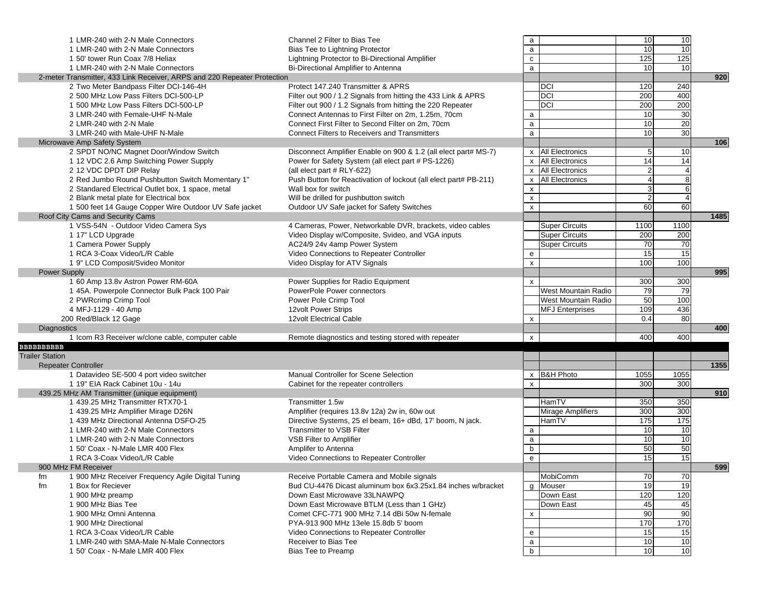|                        | 1 LMR-240 with 2-N Male Connectors                                       | Channel 2 Filter to Bias Tee                                     | a                         |                            | 10               | 10                      |      |
|------------------------|--------------------------------------------------------------------------|------------------------------------------------------------------|---------------------------|----------------------------|------------------|-------------------------|------|
|                        | 1 LMR-240 with 2-N Male Connectors                                       | Bias Tee to Lightning Protector                                  | a                         |                            | 10               | 10                      |      |
|                        | 1 50' tower Run Coax 7/8 Heliax                                          | Lightning Protector to Bi-Directional Amplifier                  | $\mathtt{C}$              |                            | 125              | 125                     |      |
|                        | 1 LMR-240 with 2-N Male Connectors                                       | Bi-Directional Amplifier to Antenna                              | $\mathsf{a}$              |                            | 10               | 10                      |      |
|                        | 2-meter Transmitter, 433 Link Receiver, ARPS and 220 Repeater Protection |                                                                  |                           |                            |                  |                         | 920  |
|                        | 2 Two Meter Bandpass Filter DCI-146-4H                                   | Protect 147.240 Transmitter & APRS                               |                           | <b>DCI</b>                 | 120              | 240                     |      |
|                        | 2 500 MHz Low Pass Filters DCI-500-LP                                    | Filter out 900 / 1.2 Signals from hitting the 433 Link & APRS    |                           | <b>DCI</b>                 | 200              | 400                     |      |
|                        | 1 500 MHz Low Pass Filters DCI-500-LP                                    | Filter out 900 / 1.2 Signals from hitting the 220 Repeater       |                           | <b>DCI</b>                 | $\overline{200}$ | 200                     |      |
|                        | 3 LMR-240 with Female-UHF N-Male                                         | Connect Antennas to First Filter on 2m, 1.25m, 70cm              | $\mathsf{a}$              |                            | 10               | 30                      |      |
|                        | 2 LMR-240 with 2-N Male                                                  | Connect First Filter to Second Filter on 2m, 70cm                | $\mathsf{a}$              |                            | 10               | 20                      |      |
|                        | 3 LMR-240 with Male-UHF N-Male                                           | <b>Connect Filters to Receivers and Transmitters</b>             | $\mathsf{a}$              |                            | 10               | 30                      |      |
|                        | Microwave Amp Safety System                                              |                                                                  |                           |                            |                  |                         | 106  |
|                        | 2 SPDT NO/NC Magnet Door/Window Switch                                   | Disconnect Amplifier Enable on 900 & 1.2 (all elect part# MS-7)  |                           | x All Electronics          | 5                | 10                      |      |
|                        | 1 12 VDC 2.6 Amp Switching Power Supply                                  | Power for Safety System (all elect part # PS-1226)               |                           | x All Electronics          | 14               | 14                      |      |
|                        | 2 12 VDC DPDT DIP Relay                                                  | (all elect part # RLY-622)                                       |                           | x All Electronics          | $\overline{c}$   | $\overline{4}$          |      |
|                        | 2 Red Jumbo Round Pushbutton Switch Momentary 1"                         | Push Button for Reactivation of lockout (all elect part# PB-211) | $\pmb{\mathsf{x}}$        | <b>All Electronics</b>     | $\overline{4}$   | $\infty$                |      |
|                        | 2 Standared Electrical Outlet box, 1 space, metal                        | Wall box for switch                                              | $\pmb{\mathsf{x}}$        |                            | $\mathbf{3}$     | 6                       |      |
|                        |                                                                          | Will be drilled for pushbutton switch                            | $\pmb{\mathsf{x}}$        |                            | $\overline{2}$   | $\overline{\mathbf{A}}$ |      |
|                        | 2 Blank metal plate for Electrical box                                   |                                                                  |                           |                            |                  | 60                      |      |
|                        | 1 500 feet 14 Gauge Copper Wire Outdoor UV Safe jacket                   | Outdoor UV Safe jacket for Safety Switches                       | $\pmb{\mathsf{x}}$        |                            | 60               |                         |      |
|                        | Roof City Cams and Security Cams                                         |                                                                  |                           |                            |                  |                         | 1485 |
|                        | 1 VSS-54N - Outdoor Video Camera Sys                                     | 4 Cameras, Power, Networkable DVR, brackets, video cables        |                           | <b>Super Circuits</b>      | 1100             | 1100                    |      |
|                        | 1 17" LCD Upgrade                                                        | Video Display w/Composite, Svideo, and VGA inputs                |                           | <b>Super Circuits</b>      | $\overline{200}$ | 200                     |      |
|                        | 1 Camera Power Supply                                                    | AC24/9 24v 4amp Power System                                     |                           | <b>Super Circuits</b>      | 70               | 70                      |      |
|                        | 1 RCA 3-Coax Video/L/R Cable                                             | Video Connections to Repeater Controller                         | ${\bf e}$                 |                            | 15               | 15                      |      |
|                        | 1 9" LCD Composit/Svideo Monitor                                         | Video Display for ATV Signals                                    | $\boldsymbol{\mathsf{x}}$ |                            | 100              | 100                     |      |
| <b>Power Supply</b>    |                                                                          |                                                                  |                           |                            |                  |                         | 995  |
|                        | 1 60 Amp 13.8v Astron Power RM-60A                                       | Power Supplies for Radio Equipment                               | $\mathsf{x}$              |                            | 300              | 300                     |      |
|                        | 1 45A. Powerpole Connector Bulk Pack 100 Pair                            | PowerPole Power connectors                                       |                           | <b>West Mountain Radio</b> | 79               | 79                      |      |
|                        | 2 PWRcrimp Crimp Tool                                                    | Power Pole Crimp Tool                                            |                           | West Mountain Radio        | 50               | 100                     |      |
|                        | 4 MFJ-1129 - 40 Amp                                                      | 12volt Power Strips                                              |                           | <b>MFJ Enterprises</b>     | 109              | 436                     |      |
|                        | 200 Red/Black 12 Gage                                                    | 12volt Electrical Cable                                          | X                         |                            | 0.4              | 80                      |      |
| <b>Diagnostics</b>     |                                                                          |                                                                  |                           |                            |                  |                         | 400  |
|                        | 1 Icom R3 Receiver w/clone cable, computer cable                         | Remote diagnostics and testing stored with repeater              | $\boldsymbol{\mathsf{x}}$ |                            | 400              | 400                     |      |
| <b>BBBBBBBBBB</b>      |                                                                          |                                                                  |                           |                            |                  |                         |      |
| <b>Trailer Station</b> |                                                                          |                                                                  |                           |                            |                  |                         |      |
|                        | <b>Repeater Controller</b>                                               |                                                                  |                           |                            |                  |                         | 1355 |
|                        | 1 Datavideo SE-500 4 port video switcher                                 | Manual Controller for Scene Selection                            |                           | x B&H Photo                | 1055             | 1055                    |      |
|                        | 1 19" EIA Rack Cabinet 10u - 14u                                         | Cabinet for the repeater controllers                             | $\pmb{\chi}$              |                            | 300              | 300                     |      |
|                        | 439.25 MHz AM Transmitter (unique equipment)                             |                                                                  |                           |                            |                  |                         | 910  |
|                        | 1 439.25 MHz Transmitter RTX70-1                                         | Transmitter 1.5w                                                 |                           | HamTV                      | 350              | 350                     |      |
|                        | 1 439.25 MHz Amplifier Mirage D26N                                       | Amplifier (requires 13.8v 12a) 2w in, 60w out                    |                           | Mirage Amplifiers          | 300              | 300                     |      |
|                        | 1 439 MHz Directional Antenna DSFO-25                                    | Directive Systems, 25 el beam, 16+ dBd, 17' boom, N jack.        |                           | HamTV                      | 175              | 175                     |      |
|                        | 1 LMR-240 with 2-N Male Connectors                                       | Transmitter to VSB Filter                                        | a                         |                            | 10               | 10                      |      |
|                        | 1 LMR-240 with 2-N Male Connectors                                       | VSB Filter to Amplifier                                          | $\mathsf{a}$              |                            | 10               | 10                      |      |
|                        | 1 50' Coax - N-Male LMR 400 Flex                                         | Amplifer to Antenna                                              | $\mathsf b$               |                            | 50               | 50                      |      |
|                        | 1 RCA 3-Coax Video/L/R Cable                                             | Video Connections to Repeater Controller                         | e                         |                            | 15               | 15                      |      |
|                        | 900 MHz FM Receiver                                                      |                                                                  |                           |                            |                  |                         | 599  |
|                        |                                                                          |                                                                  |                           |                            |                  |                         |      |
| fm                     | 1 900 MHz Receiver Frequency Agile Digital Tuning                        | Receive Portable Camera and Mobile signals                       |                           | MobiComm                   | 70               | 70                      |      |
| fm                     | 1 Box for Reciever                                                       | Bud CU-4476 Dicast aluminum box 6x3.25x1.84 inches w/bracket     | $\mathsf{q}$              | Mouser                     | 19               | 19                      |      |
|                        | 1 900 MHz preamp                                                         | Down East Microwave 33LNAWPQ                                     |                           | Down East                  | 120              | 120                     |      |
|                        | 1 900 MHz Bias Tee                                                       | Down East Microwave BTLM (Less than 1 GHz)                       |                           | Down East                  | 45               | 45                      |      |
|                        | 1 900 MHz Omni Antenna                                                   | Comet CFC-771 900 MHz 7.14 dBi 50w N-female                      | x                         |                            | 90               | 90                      |      |
|                        | 1 900 MHz Directional                                                    | PYA-913 900 MHz 13ele 15.8db 5' boom                             |                           |                            | 170              | 170                     |      |
|                        | 1 RCA 3-Coax Video/L/R Cable                                             | Video Connections to Repeater Controller                         | e                         |                            | 15               | 15                      |      |
|                        | 1 LMR-240 with SMA-Male N-Male Connectors                                | Receiver to Bias Tee                                             | $\mathsf{a}$              |                            | 10               | 10                      |      |
|                        | 1 50' Coax - N-Male LMR 400 Flex                                         | <b>Bias Tee to Preamp</b>                                        | $\mathsf b$               |                            | 10               | 10                      |      |
|                        |                                                                          |                                                                  |                           |                            |                  |                         |      |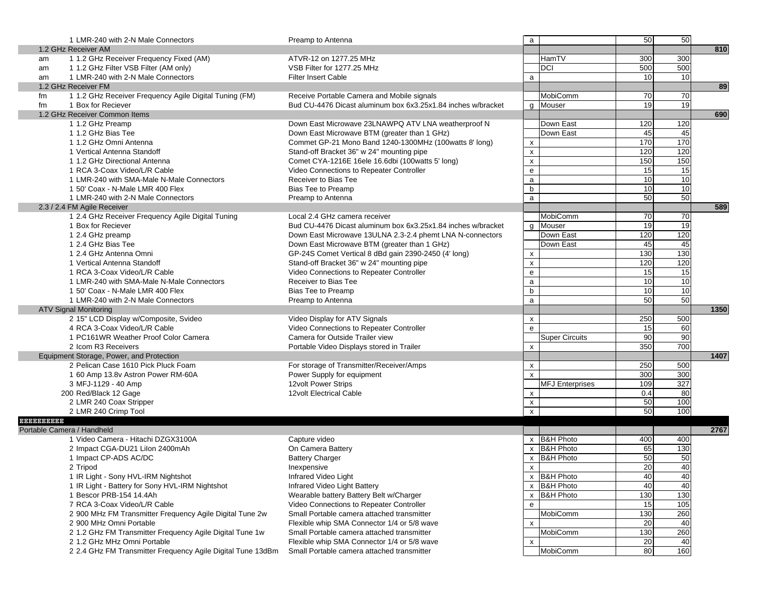| 810<br>1.2 GHz Receiver AM<br>1 1.2 GHz Receiver Frequency Fixed (AM)<br>300<br>ATVR-12 on 1277.25 MHz<br>HamTV<br>300<br>am<br>500<br><b>DCI</b><br>500<br>1 1.2 GHz Filter VSB Filter (AM only)<br>VSB Filter for 1277.25 MHz<br>am<br>10 <sup>1</sup><br>1 LMR-240 with 2-N Male Connectors<br><b>Filter Insert Cable</b><br>10<br>a<br>am<br>89<br>1.2 GHz Receiver FM<br>1 1.2 GHz Receiver Frequency Agile Digital Tuning (FM)<br>Receive Portable Camera and Mobile signals<br>MobiComm<br>70<br>70<br>fm<br>19<br>19<br>1 Box for Reciever<br>Bud CU-4476 Dicast aluminum box 6x3.25x1.84 inches w/bracket<br>q Mouser<br>fm<br>1.2 GHz Receiver Common Items<br>690<br>1 1.2 GHz Preamp<br>Down East Microwave 23LNAWPQ ATV LNA weatherproof N<br>Down East<br>120<br>120<br>45<br>45<br>1 1.2 GHz Bias Tee<br>Down East Microwave BTM (greater than 1 GHz)<br>Down East<br>170<br>170<br>1 1.2 GHz Omni Antenna<br>Commet GP-21 Mono Band 1240-1300MHz (100watts 8' long)<br>$\boldsymbol{\mathsf{x}}$<br>120<br>120<br>1 Vertical Antenna Standoff<br>Stand-off Bracket 36" w 24" mounting pipe<br>$\pmb{\mathsf{x}}$<br>150<br>150<br>Comet CYA-1216E 16ele 16.6dbi (100watts 5' long)<br>$\pmb{\mathsf{x}}$<br>1 1.2 GHz Directional Antenna<br>15<br>15<br>1 RCA 3-Coax Video/L/R Cable<br>Video Connections to Repeater Controller<br>e<br>10<br>$\overline{10}$<br>Receiver to Bias Tee<br>1 LMR-240 with SMA-Male N-Male Connectors<br>$\mathsf{a}$<br>10<br>$\mathsf b$<br>10<br><b>Bias Tee to Preamp</b><br>1 50' Coax - N-Male LMR 400 Flex<br>50<br>50<br>a<br>1 LMR-240 with 2-N Male Connectors<br>Preamp to Antenna<br>589<br>2.3 / 2.4 FM Agile Receiver<br>MobiComm<br>70<br>1 2.4 GHz Receiver Frequency Agile Digital Tuning<br>Local 2.4 GHz camera receiver<br>70<br>19<br>g Mouser<br>19<br>1 Box for Reciever<br>Bud CU-4476 Dicast aluminum box 6x3.25x1.84 inches w/bracket<br>120<br>120<br>Down East<br>1 2.4 GHz preamp<br>Down East Microwave 13ULNA 2.3-2.4 phemt LNA N-connectors<br>45<br>45<br>1 2.4 GHz Bias Tee<br>Down East Microwave BTM (greater than 1 GHz)<br>Down East<br>130<br>130<br>1 2.4 GHz Antenna Omni<br>GP-24S Comet Vertical 8 dBd gain 2390-2450 (4' long)<br>X<br>120<br>120<br>$\pmb{\mathsf{x}}$<br>Stand-off Bracket 36" w 24" mounting pipe<br>1 Vertical Antenna Standoff<br>15<br>15<br>Video Connections to Repeater Controller<br>$\mathsf{e}\,$<br>1 RCA 3-Coax Video/L/R Cable<br>10<br>Receiver to Bias Tee<br>10<br>1 LMR-240 with SMA-Male N-Male Connectors<br>a<br>10<br>b<br>$\overline{10}$<br><b>Bias Tee to Preamp</b><br>1 50' Coax - N-Male LMR 400 Flex<br>50<br>50<br>1 LMR-240 with 2-N Male Connectors<br>Preamp to Antenna<br>a<br>1350<br><b>ATV Signal Monitoring</b><br>2 15" LCD Display w/Composite, Svideo<br>500<br>Video Display for ATV Signals<br>250<br>$\mathsf{x}$<br>60<br>15<br>4 RCA 3-Coax Video/L/R Cable<br>Video Connections to Repeater Controller<br>e<br>90<br>90<br>1 PC161WR Weather Proof Color Camera<br>Camera for Outside Trailer view<br><b>Super Circuits</b><br>700<br>350<br>2 Icom R3 Receivers<br>Portable Video Displays stored in Trailer<br>$\boldsymbol{\mathsf{x}}$<br>1407<br>Equipment Storage, Power, and Protection<br>2 Pelican Case 1610 Pick Pluck Foam<br>500<br>For storage of Transmitter/Receiver/Amps<br>250<br>$\mathsf{x}$<br>300<br>300<br>$\mathsf{x}$<br>Power Supply for equipment<br>1 60 Amp 13.8v Astron Power RM-60A<br>$\overline{327}$<br><b>MFJ Enterprises</b><br>109<br>3 MFJ-1129 - 40 Amp<br>12volt Power Strips<br>80<br>0.4<br>200 Red/Black 12 Gage<br>12volt Electrical Cable<br>x<br>100<br>50<br>2 LMR 240 Coax Stripper<br>$\pmb{\mathsf{x}}$<br>100<br>50<br>2 LMR 240 Crimp Tool<br>X<br>B B B B B B B B B B<br>Portable Camera / Handheld<br>2767<br>x B&H Photo<br>1 Video Camera - Hitachi DZGX3100A<br>400<br>Capture video<br>400<br>x B&H Photo<br>65<br>130<br>2 Impact CGA-DU21 Lilon 2400mAh<br>On Camera Battery<br>50<br><b>B&amp;H Photo</b><br>50<br>1 Impact CP-ADS AC/DC<br><b>Battery Charger</b><br>x<br>20<br>40<br>Inexpensive<br>2 Tripod<br>X<br>1 IR Light - Sony HVL-IRM Nightshot<br>40<br>x B&H Photo<br>Infrared Video Light<br>40<br>40<br>40<br>x B&H Photo<br>1 IR Light - Battery for Sony HVL-IRM Nightshot<br>Infrared Video Light Battery<br>130<br>130<br>1 Bescor PRB-154 14.4Ah<br>Wearable battery Battery Belt w/Charger<br><b>B&amp;H Photo</b><br>x<br>15<br>105<br>7 RCA 3-Coax Video/L/R Cable<br>Video Connections to Repeater Controller<br>e<br>130<br>260<br>2 900 MHz FM Transmitter Frequency Agile Digital Tune 2w<br>Small Portable camera attached transmitter<br>MobiComm<br>40<br>20<br>Flexible whip SMA Connector 1/4 or 5/8 wave<br>2 900 MHz Omni Portable<br>x<br>260<br>130<br>2 1.2 GHz FM Transmitter Frequency Agile Digital Tune 1w<br>Small Portable camera attached transmitter<br>MobiComm<br>20<br>2 1.2 GHz MHz Omni Portable<br>Flexible whip SMA Connector 1/4 or 5/8 wave<br>40<br>x<br>80<br>160<br>2 2.4 GHz FM Transmitter Frequency Agile Digital Tune 13dBm<br>MobiComm<br>Small Portable camera attached transmitter | 1 LMR-240 with 2-N Male Connectors | Preamp to Antenna | a | 50 | 50 |  |
|---------------------------------------------------------------------------------------------------------------------------------------------------------------------------------------------------------------------------------------------------------------------------------------------------------------------------------------------------------------------------------------------------------------------------------------------------------------------------------------------------------------------------------------------------------------------------------------------------------------------------------------------------------------------------------------------------------------------------------------------------------------------------------------------------------------------------------------------------------------------------------------------------------------------------------------------------------------------------------------------------------------------------------------------------------------------------------------------------------------------------------------------------------------------------------------------------------------------------------------------------------------------------------------------------------------------------------------------------------------------------------------------------------------------------------------------------------------------------------------------------------------------------------------------------------------------------------------------------------------------------------------------------------------------------------------------------------------------------------------------------------------------------------------------------------------------------------------------------------------------------------------------------------------------------------------------------------------------------------------------------------------------------------------------------------------------------------------------------------------------------------------------------------------------------------------------------------------------------------------------------------------------------------------------------------------------------------------------------------------------------------------------------------------------------------------------------------------------------------------------------------------------------------------------------------------------------------------------------------------------------------------------------------------------------------------------------------------------------------------------------------------------------------------------------------------------------------------------------------------------------------------------------------------------------------------------------------------------------------------------------------------------------------------------------------------------------------------------------------------------------------------------------------------------------------------------------------------------------------------------------------------------------------------------------------------------------------------------------------------------------------------------------------------------------------------------------------------------------------------------------------------------------------------------------------------------------------------------------------------------------------------------------------------------------------------------------------------------------------------------------------------------------------------------------------------------------------------------------------------------------------------------------------------------------------------------------------------------------------------------------------------------------------------------------------------------------------------------------------------------------------------------------------------------------------------------------------------------------------------------------------------------------------------------------------------------------------------------------------------------------------------------------------------------------------------------------------------------------------------------------------------------------------------------------------------------------------------------------------------------------------------------------------------------------------------------------------------------------------------------------------------------------------------------------------------------------------------------------------------------------------------------------------------------------------------------------------------------------------------------------------------------------------------------------------------------------------------------------------------------------------------------------------------------------|------------------------------------|-------------------|---|----|----|--|
|                                                                                                                                                                                                                                                                                                                                                                                                                                                                                                                                                                                                                                                                                                                                                                                                                                                                                                                                                                                                                                                                                                                                                                                                                                                                                                                                                                                                                                                                                                                                                                                                                                                                                                                                                                                                                                                                                                                                                                                                                                                                                                                                                                                                                                                                                                                                                                                                                                                                                                                                                                                                                                                                                                                                                                                                                                                                                                                                                                                                                                                                                                                                                                                                                                                                                                                                                                                                                                                                                                                                                                                                                                                                                                                                                                                                                                                                                                                                                                                                                                                                                                                                                                                                                                                                                                                                                                                                                                                                                                                                                                                                                                                                                                                                                                                                                                                                                                                                                                                                                                                                                                                                                                           |                                    |                   |   |    |    |  |
|                                                                                                                                                                                                                                                                                                                                                                                                                                                                                                                                                                                                                                                                                                                                                                                                                                                                                                                                                                                                                                                                                                                                                                                                                                                                                                                                                                                                                                                                                                                                                                                                                                                                                                                                                                                                                                                                                                                                                                                                                                                                                                                                                                                                                                                                                                                                                                                                                                                                                                                                                                                                                                                                                                                                                                                                                                                                                                                                                                                                                                                                                                                                                                                                                                                                                                                                                                                                                                                                                                                                                                                                                                                                                                                                                                                                                                                                                                                                                                                                                                                                                                                                                                                                                                                                                                                                                                                                                                                                                                                                                                                                                                                                                                                                                                                                                                                                                                                                                                                                                                                                                                                                                                           |                                    |                   |   |    |    |  |
|                                                                                                                                                                                                                                                                                                                                                                                                                                                                                                                                                                                                                                                                                                                                                                                                                                                                                                                                                                                                                                                                                                                                                                                                                                                                                                                                                                                                                                                                                                                                                                                                                                                                                                                                                                                                                                                                                                                                                                                                                                                                                                                                                                                                                                                                                                                                                                                                                                                                                                                                                                                                                                                                                                                                                                                                                                                                                                                                                                                                                                                                                                                                                                                                                                                                                                                                                                                                                                                                                                                                                                                                                                                                                                                                                                                                                                                                                                                                                                                                                                                                                                                                                                                                                                                                                                                                                                                                                                                                                                                                                                                                                                                                                                                                                                                                                                                                                                                                                                                                                                                                                                                                                                           |                                    |                   |   |    |    |  |
|                                                                                                                                                                                                                                                                                                                                                                                                                                                                                                                                                                                                                                                                                                                                                                                                                                                                                                                                                                                                                                                                                                                                                                                                                                                                                                                                                                                                                                                                                                                                                                                                                                                                                                                                                                                                                                                                                                                                                                                                                                                                                                                                                                                                                                                                                                                                                                                                                                                                                                                                                                                                                                                                                                                                                                                                                                                                                                                                                                                                                                                                                                                                                                                                                                                                                                                                                                                                                                                                                                                                                                                                                                                                                                                                                                                                                                                                                                                                                                                                                                                                                                                                                                                                                                                                                                                                                                                                                                                                                                                                                                                                                                                                                                                                                                                                                                                                                                                                                                                                                                                                                                                                                                           |                                    |                   |   |    |    |  |
|                                                                                                                                                                                                                                                                                                                                                                                                                                                                                                                                                                                                                                                                                                                                                                                                                                                                                                                                                                                                                                                                                                                                                                                                                                                                                                                                                                                                                                                                                                                                                                                                                                                                                                                                                                                                                                                                                                                                                                                                                                                                                                                                                                                                                                                                                                                                                                                                                                                                                                                                                                                                                                                                                                                                                                                                                                                                                                                                                                                                                                                                                                                                                                                                                                                                                                                                                                                                                                                                                                                                                                                                                                                                                                                                                                                                                                                                                                                                                                                                                                                                                                                                                                                                                                                                                                                                                                                                                                                                                                                                                                                                                                                                                                                                                                                                                                                                                                                                                                                                                                                                                                                                                                           |                                    |                   |   |    |    |  |
|                                                                                                                                                                                                                                                                                                                                                                                                                                                                                                                                                                                                                                                                                                                                                                                                                                                                                                                                                                                                                                                                                                                                                                                                                                                                                                                                                                                                                                                                                                                                                                                                                                                                                                                                                                                                                                                                                                                                                                                                                                                                                                                                                                                                                                                                                                                                                                                                                                                                                                                                                                                                                                                                                                                                                                                                                                                                                                                                                                                                                                                                                                                                                                                                                                                                                                                                                                                                                                                                                                                                                                                                                                                                                                                                                                                                                                                                                                                                                                                                                                                                                                                                                                                                                                                                                                                                                                                                                                                                                                                                                                                                                                                                                                                                                                                                                                                                                                                                                                                                                                                                                                                                                                           |                                    |                   |   |    |    |  |
|                                                                                                                                                                                                                                                                                                                                                                                                                                                                                                                                                                                                                                                                                                                                                                                                                                                                                                                                                                                                                                                                                                                                                                                                                                                                                                                                                                                                                                                                                                                                                                                                                                                                                                                                                                                                                                                                                                                                                                                                                                                                                                                                                                                                                                                                                                                                                                                                                                                                                                                                                                                                                                                                                                                                                                                                                                                                                                                                                                                                                                                                                                                                                                                                                                                                                                                                                                                                                                                                                                                                                                                                                                                                                                                                                                                                                                                                                                                                                                                                                                                                                                                                                                                                                                                                                                                                                                                                                                                                                                                                                                                                                                                                                                                                                                                                                                                                                                                                                                                                                                                                                                                                                                           |                                    |                   |   |    |    |  |
|                                                                                                                                                                                                                                                                                                                                                                                                                                                                                                                                                                                                                                                                                                                                                                                                                                                                                                                                                                                                                                                                                                                                                                                                                                                                                                                                                                                                                                                                                                                                                                                                                                                                                                                                                                                                                                                                                                                                                                                                                                                                                                                                                                                                                                                                                                                                                                                                                                                                                                                                                                                                                                                                                                                                                                                                                                                                                                                                                                                                                                                                                                                                                                                                                                                                                                                                                                                                                                                                                                                                                                                                                                                                                                                                                                                                                                                                                                                                                                                                                                                                                                                                                                                                                                                                                                                                                                                                                                                                                                                                                                                                                                                                                                                                                                                                                                                                                                                                                                                                                                                                                                                                                                           |                                    |                   |   |    |    |  |
|                                                                                                                                                                                                                                                                                                                                                                                                                                                                                                                                                                                                                                                                                                                                                                                                                                                                                                                                                                                                                                                                                                                                                                                                                                                                                                                                                                                                                                                                                                                                                                                                                                                                                                                                                                                                                                                                                                                                                                                                                                                                                                                                                                                                                                                                                                                                                                                                                                                                                                                                                                                                                                                                                                                                                                                                                                                                                                                                                                                                                                                                                                                                                                                                                                                                                                                                                                                                                                                                                                                                                                                                                                                                                                                                                                                                                                                                                                                                                                                                                                                                                                                                                                                                                                                                                                                                                                                                                                                                                                                                                                                                                                                                                                                                                                                                                                                                                                                                                                                                                                                                                                                                                                           |                                    |                   |   |    |    |  |
|                                                                                                                                                                                                                                                                                                                                                                                                                                                                                                                                                                                                                                                                                                                                                                                                                                                                                                                                                                                                                                                                                                                                                                                                                                                                                                                                                                                                                                                                                                                                                                                                                                                                                                                                                                                                                                                                                                                                                                                                                                                                                                                                                                                                                                                                                                                                                                                                                                                                                                                                                                                                                                                                                                                                                                                                                                                                                                                                                                                                                                                                                                                                                                                                                                                                                                                                                                                                                                                                                                                                                                                                                                                                                                                                                                                                                                                                                                                                                                                                                                                                                                                                                                                                                                                                                                                                                                                                                                                                                                                                                                                                                                                                                                                                                                                                                                                                                                                                                                                                                                                                                                                                                                           |                                    |                   |   |    |    |  |
|                                                                                                                                                                                                                                                                                                                                                                                                                                                                                                                                                                                                                                                                                                                                                                                                                                                                                                                                                                                                                                                                                                                                                                                                                                                                                                                                                                                                                                                                                                                                                                                                                                                                                                                                                                                                                                                                                                                                                                                                                                                                                                                                                                                                                                                                                                                                                                                                                                                                                                                                                                                                                                                                                                                                                                                                                                                                                                                                                                                                                                                                                                                                                                                                                                                                                                                                                                                                                                                                                                                                                                                                                                                                                                                                                                                                                                                                                                                                                                                                                                                                                                                                                                                                                                                                                                                                                                                                                                                                                                                                                                                                                                                                                                                                                                                                                                                                                                                                                                                                                                                                                                                                                                           |                                    |                   |   |    |    |  |
|                                                                                                                                                                                                                                                                                                                                                                                                                                                                                                                                                                                                                                                                                                                                                                                                                                                                                                                                                                                                                                                                                                                                                                                                                                                                                                                                                                                                                                                                                                                                                                                                                                                                                                                                                                                                                                                                                                                                                                                                                                                                                                                                                                                                                                                                                                                                                                                                                                                                                                                                                                                                                                                                                                                                                                                                                                                                                                                                                                                                                                                                                                                                                                                                                                                                                                                                                                                                                                                                                                                                                                                                                                                                                                                                                                                                                                                                                                                                                                                                                                                                                                                                                                                                                                                                                                                                                                                                                                                                                                                                                                                                                                                                                                                                                                                                                                                                                                                                                                                                                                                                                                                                                                           |                                    |                   |   |    |    |  |
|                                                                                                                                                                                                                                                                                                                                                                                                                                                                                                                                                                                                                                                                                                                                                                                                                                                                                                                                                                                                                                                                                                                                                                                                                                                                                                                                                                                                                                                                                                                                                                                                                                                                                                                                                                                                                                                                                                                                                                                                                                                                                                                                                                                                                                                                                                                                                                                                                                                                                                                                                                                                                                                                                                                                                                                                                                                                                                                                                                                                                                                                                                                                                                                                                                                                                                                                                                                                                                                                                                                                                                                                                                                                                                                                                                                                                                                                                                                                                                                                                                                                                                                                                                                                                                                                                                                                                                                                                                                                                                                                                                                                                                                                                                                                                                                                                                                                                                                                                                                                                                                                                                                                                                           |                                    |                   |   |    |    |  |
|                                                                                                                                                                                                                                                                                                                                                                                                                                                                                                                                                                                                                                                                                                                                                                                                                                                                                                                                                                                                                                                                                                                                                                                                                                                                                                                                                                                                                                                                                                                                                                                                                                                                                                                                                                                                                                                                                                                                                                                                                                                                                                                                                                                                                                                                                                                                                                                                                                                                                                                                                                                                                                                                                                                                                                                                                                                                                                                                                                                                                                                                                                                                                                                                                                                                                                                                                                                                                                                                                                                                                                                                                                                                                                                                                                                                                                                                                                                                                                                                                                                                                                                                                                                                                                                                                                                                                                                                                                                                                                                                                                                                                                                                                                                                                                                                                                                                                                                                                                                                                                                                                                                                                                           |                                    |                   |   |    |    |  |
|                                                                                                                                                                                                                                                                                                                                                                                                                                                                                                                                                                                                                                                                                                                                                                                                                                                                                                                                                                                                                                                                                                                                                                                                                                                                                                                                                                                                                                                                                                                                                                                                                                                                                                                                                                                                                                                                                                                                                                                                                                                                                                                                                                                                                                                                                                                                                                                                                                                                                                                                                                                                                                                                                                                                                                                                                                                                                                                                                                                                                                                                                                                                                                                                                                                                                                                                                                                                                                                                                                                                                                                                                                                                                                                                                                                                                                                                                                                                                                                                                                                                                                                                                                                                                                                                                                                                                                                                                                                                                                                                                                                                                                                                                                                                                                                                                                                                                                                                                                                                                                                                                                                                                                           |                                    |                   |   |    |    |  |
|                                                                                                                                                                                                                                                                                                                                                                                                                                                                                                                                                                                                                                                                                                                                                                                                                                                                                                                                                                                                                                                                                                                                                                                                                                                                                                                                                                                                                                                                                                                                                                                                                                                                                                                                                                                                                                                                                                                                                                                                                                                                                                                                                                                                                                                                                                                                                                                                                                                                                                                                                                                                                                                                                                                                                                                                                                                                                                                                                                                                                                                                                                                                                                                                                                                                                                                                                                                                                                                                                                                                                                                                                                                                                                                                                                                                                                                                                                                                                                                                                                                                                                                                                                                                                                                                                                                                                                                                                                                                                                                                                                                                                                                                                                                                                                                                                                                                                                                                                                                                                                                                                                                                                                           |                                    |                   |   |    |    |  |
|                                                                                                                                                                                                                                                                                                                                                                                                                                                                                                                                                                                                                                                                                                                                                                                                                                                                                                                                                                                                                                                                                                                                                                                                                                                                                                                                                                                                                                                                                                                                                                                                                                                                                                                                                                                                                                                                                                                                                                                                                                                                                                                                                                                                                                                                                                                                                                                                                                                                                                                                                                                                                                                                                                                                                                                                                                                                                                                                                                                                                                                                                                                                                                                                                                                                                                                                                                                                                                                                                                                                                                                                                                                                                                                                                                                                                                                                                                                                                                                                                                                                                                                                                                                                                                                                                                                                                                                                                                                                                                                                                                                                                                                                                                                                                                                                                                                                                                                                                                                                                                                                                                                                                                           |                                    |                   |   |    |    |  |
|                                                                                                                                                                                                                                                                                                                                                                                                                                                                                                                                                                                                                                                                                                                                                                                                                                                                                                                                                                                                                                                                                                                                                                                                                                                                                                                                                                                                                                                                                                                                                                                                                                                                                                                                                                                                                                                                                                                                                                                                                                                                                                                                                                                                                                                                                                                                                                                                                                                                                                                                                                                                                                                                                                                                                                                                                                                                                                                                                                                                                                                                                                                                                                                                                                                                                                                                                                                                                                                                                                                                                                                                                                                                                                                                                                                                                                                                                                                                                                                                                                                                                                                                                                                                                                                                                                                                                                                                                                                                                                                                                                                                                                                                                                                                                                                                                                                                                                                                                                                                                                                                                                                                                                           |                                    |                   |   |    |    |  |
|                                                                                                                                                                                                                                                                                                                                                                                                                                                                                                                                                                                                                                                                                                                                                                                                                                                                                                                                                                                                                                                                                                                                                                                                                                                                                                                                                                                                                                                                                                                                                                                                                                                                                                                                                                                                                                                                                                                                                                                                                                                                                                                                                                                                                                                                                                                                                                                                                                                                                                                                                                                                                                                                                                                                                                                                                                                                                                                                                                                                                                                                                                                                                                                                                                                                                                                                                                                                                                                                                                                                                                                                                                                                                                                                                                                                                                                                                                                                                                                                                                                                                                                                                                                                                                                                                                                                                                                                                                                                                                                                                                                                                                                                                                                                                                                                                                                                                                                                                                                                                                                                                                                                                                           |                                    |                   |   |    |    |  |
|                                                                                                                                                                                                                                                                                                                                                                                                                                                                                                                                                                                                                                                                                                                                                                                                                                                                                                                                                                                                                                                                                                                                                                                                                                                                                                                                                                                                                                                                                                                                                                                                                                                                                                                                                                                                                                                                                                                                                                                                                                                                                                                                                                                                                                                                                                                                                                                                                                                                                                                                                                                                                                                                                                                                                                                                                                                                                                                                                                                                                                                                                                                                                                                                                                                                                                                                                                                                                                                                                                                                                                                                                                                                                                                                                                                                                                                                                                                                                                                                                                                                                                                                                                                                                                                                                                                                                                                                                                                                                                                                                                                                                                                                                                                                                                                                                                                                                                                                                                                                                                                                                                                                                                           |                                    |                   |   |    |    |  |
|                                                                                                                                                                                                                                                                                                                                                                                                                                                                                                                                                                                                                                                                                                                                                                                                                                                                                                                                                                                                                                                                                                                                                                                                                                                                                                                                                                                                                                                                                                                                                                                                                                                                                                                                                                                                                                                                                                                                                                                                                                                                                                                                                                                                                                                                                                                                                                                                                                                                                                                                                                                                                                                                                                                                                                                                                                                                                                                                                                                                                                                                                                                                                                                                                                                                                                                                                                                                                                                                                                                                                                                                                                                                                                                                                                                                                                                                                                                                                                                                                                                                                                                                                                                                                                                                                                                                                                                                                                                                                                                                                                                                                                                                                                                                                                                                                                                                                                                                                                                                                                                                                                                                                                           |                                    |                   |   |    |    |  |
|                                                                                                                                                                                                                                                                                                                                                                                                                                                                                                                                                                                                                                                                                                                                                                                                                                                                                                                                                                                                                                                                                                                                                                                                                                                                                                                                                                                                                                                                                                                                                                                                                                                                                                                                                                                                                                                                                                                                                                                                                                                                                                                                                                                                                                                                                                                                                                                                                                                                                                                                                                                                                                                                                                                                                                                                                                                                                                                                                                                                                                                                                                                                                                                                                                                                                                                                                                                                                                                                                                                                                                                                                                                                                                                                                                                                                                                                                                                                                                                                                                                                                                                                                                                                                                                                                                                                                                                                                                                                                                                                                                                                                                                                                                                                                                                                                                                                                                                                                                                                                                                                                                                                                                           |                                    |                   |   |    |    |  |
|                                                                                                                                                                                                                                                                                                                                                                                                                                                                                                                                                                                                                                                                                                                                                                                                                                                                                                                                                                                                                                                                                                                                                                                                                                                                                                                                                                                                                                                                                                                                                                                                                                                                                                                                                                                                                                                                                                                                                                                                                                                                                                                                                                                                                                                                                                                                                                                                                                                                                                                                                                                                                                                                                                                                                                                                                                                                                                                                                                                                                                                                                                                                                                                                                                                                                                                                                                                                                                                                                                                                                                                                                                                                                                                                                                                                                                                                                                                                                                                                                                                                                                                                                                                                                                                                                                                                                                                                                                                                                                                                                                                                                                                                                                                                                                                                                                                                                                                                                                                                                                                                                                                                                                           |                                    |                   |   |    |    |  |
|                                                                                                                                                                                                                                                                                                                                                                                                                                                                                                                                                                                                                                                                                                                                                                                                                                                                                                                                                                                                                                                                                                                                                                                                                                                                                                                                                                                                                                                                                                                                                                                                                                                                                                                                                                                                                                                                                                                                                                                                                                                                                                                                                                                                                                                                                                                                                                                                                                                                                                                                                                                                                                                                                                                                                                                                                                                                                                                                                                                                                                                                                                                                                                                                                                                                                                                                                                                                                                                                                                                                                                                                                                                                                                                                                                                                                                                                                                                                                                                                                                                                                                                                                                                                                                                                                                                                                                                                                                                                                                                                                                                                                                                                                                                                                                                                                                                                                                                                                                                                                                                                                                                                                                           |                                    |                   |   |    |    |  |
|                                                                                                                                                                                                                                                                                                                                                                                                                                                                                                                                                                                                                                                                                                                                                                                                                                                                                                                                                                                                                                                                                                                                                                                                                                                                                                                                                                                                                                                                                                                                                                                                                                                                                                                                                                                                                                                                                                                                                                                                                                                                                                                                                                                                                                                                                                                                                                                                                                                                                                                                                                                                                                                                                                                                                                                                                                                                                                                                                                                                                                                                                                                                                                                                                                                                                                                                                                                                                                                                                                                                                                                                                                                                                                                                                                                                                                                                                                                                                                                                                                                                                                                                                                                                                                                                                                                                                                                                                                                                                                                                                                                                                                                                                                                                                                                                                                                                                                                                                                                                                                                                                                                                                                           |                                    |                   |   |    |    |  |
|                                                                                                                                                                                                                                                                                                                                                                                                                                                                                                                                                                                                                                                                                                                                                                                                                                                                                                                                                                                                                                                                                                                                                                                                                                                                                                                                                                                                                                                                                                                                                                                                                                                                                                                                                                                                                                                                                                                                                                                                                                                                                                                                                                                                                                                                                                                                                                                                                                                                                                                                                                                                                                                                                                                                                                                                                                                                                                                                                                                                                                                                                                                                                                                                                                                                                                                                                                                                                                                                                                                                                                                                                                                                                                                                                                                                                                                                                                                                                                                                                                                                                                                                                                                                                                                                                                                                                                                                                                                                                                                                                                                                                                                                                                                                                                                                                                                                                                                                                                                                                                                                                                                                                                           |                                    |                   |   |    |    |  |
|                                                                                                                                                                                                                                                                                                                                                                                                                                                                                                                                                                                                                                                                                                                                                                                                                                                                                                                                                                                                                                                                                                                                                                                                                                                                                                                                                                                                                                                                                                                                                                                                                                                                                                                                                                                                                                                                                                                                                                                                                                                                                                                                                                                                                                                                                                                                                                                                                                                                                                                                                                                                                                                                                                                                                                                                                                                                                                                                                                                                                                                                                                                                                                                                                                                                                                                                                                                                                                                                                                                                                                                                                                                                                                                                                                                                                                                                                                                                                                                                                                                                                                                                                                                                                                                                                                                                                                                                                                                                                                                                                                                                                                                                                                                                                                                                                                                                                                                                                                                                                                                                                                                                                                           |                                    |                   |   |    |    |  |
|                                                                                                                                                                                                                                                                                                                                                                                                                                                                                                                                                                                                                                                                                                                                                                                                                                                                                                                                                                                                                                                                                                                                                                                                                                                                                                                                                                                                                                                                                                                                                                                                                                                                                                                                                                                                                                                                                                                                                                                                                                                                                                                                                                                                                                                                                                                                                                                                                                                                                                                                                                                                                                                                                                                                                                                                                                                                                                                                                                                                                                                                                                                                                                                                                                                                                                                                                                                                                                                                                                                                                                                                                                                                                                                                                                                                                                                                                                                                                                                                                                                                                                                                                                                                                                                                                                                                                                                                                                                                                                                                                                                                                                                                                                                                                                                                                                                                                                                                                                                                                                                                                                                                                                           |                                    |                   |   |    |    |  |
|                                                                                                                                                                                                                                                                                                                                                                                                                                                                                                                                                                                                                                                                                                                                                                                                                                                                                                                                                                                                                                                                                                                                                                                                                                                                                                                                                                                                                                                                                                                                                                                                                                                                                                                                                                                                                                                                                                                                                                                                                                                                                                                                                                                                                                                                                                                                                                                                                                                                                                                                                                                                                                                                                                                                                                                                                                                                                                                                                                                                                                                                                                                                                                                                                                                                                                                                                                                                                                                                                                                                                                                                                                                                                                                                                                                                                                                                                                                                                                                                                                                                                                                                                                                                                                                                                                                                                                                                                                                                                                                                                                                                                                                                                                                                                                                                                                                                                                                                                                                                                                                                                                                                                                           |                                    |                   |   |    |    |  |
|                                                                                                                                                                                                                                                                                                                                                                                                                                                                                                                                                                                                                                                                                                                                                                                                                                                                                                                                                                                                                                                                                                                                                                                                                                                                                                                                                                                                                                                                                                                                                                                                                                                                                                                                                                                                                                                                                                                                                                                                                                                                                                                                                                                                                                                                                                                                                                                                                                                                                                                                                                                                                                                                                                                                                                                                                                                                                                                                                                                                                                                                                                                                                                                                                                                                                                                                                                                                                                                                                                                                                                                                                                                                                                                                                                                                                                                                                                                                                                                                                                                                                                                                                                                                                                                                                                                                                                                                                                                                                                                                                                                                                                                                                                                                                                                                                                                                                                                                                                                                                                                                                                                                                                           |                                    |                   |   |    |    |  |
|                                                                                                                                                                                                                                                                                                                                                                                                                                                                                                                                                                                                                                                                                                                                                                                                                                                                                                                                                                                                                                                                                                                                                                                                                                                                                                                                                                                                                                                                                                                                                                                                                                                                                                                                                                                                                                                                                                                                                                                                                                                                                                                                                                                                                                                                                                                                                                                                                                                                                                                                                                                                                                                                                                                                                                                                                                                                                                                                                                                                                                                                                                                                                                                                                                                                                                                                                                                                                                                                                                                                                                                                                                                                                                                                                                                                                                                                                                                                                                                                                                                                                                                                                                                                                                                                                                                                                                                                                                                                                                                                                                                                                                                                                                                                                                                                                                                                                                                                                                                                                                                                                                                                                                           |                                    |                   |   |    |    |  |
|                                                                                                                                                                                                                                                                                                                                                                                                                                                                                                                                                                                                                                                                                                                                                                                                                                                                                                                                                                                                                                                                                                                                                                                                                                                                                                                                                                                                                                                                                                                                                                                                                                                                                                                                                                                                                                                                                                                                                                                                                                                                                                                                                                                                                                                                                                                                                                                                                                                                                                                                                                                                                                                                                                                                                                                                                                                                                                                                                                                                                                                                                                                                                                                                                                                                                                                                                                                                                                                                                                                                                                                                                                                                                                                                                                                                                                                                                                                                                                                                                                                                                                                                                                                                                                                                                                                                                                                                                                                                                                                                                                                                                                                                                                                                                                                                                                                                                                                                                                                                                                                                                                                                                                           |                                    |                   |   |    |    |  |
|                                                                                                                                                                                                                                                                                                                                                                                                                                                                                                                                                                                                                                                                                                                                                                                                                                                                                                                                                                                                                                                                                                                                                                                                                                                                                                                                                                                                                                                                                                                                                                                                                                                                                                                                                                                                                                                                                                                                                                                                                                                                                                                                                                                                                                                                                                                                                                                                                                                                                                                                                                                                                                                                                                                                                                                                                                                                                                                                                                                                                                                                                                                                                                                                                                                                                                                                                                                                                                                                                                                                                                                                                                                                                                                                                                                                                                                                                                                                                                                                                                                                                                                                                                                                                                                                                                                                                                                                                                                                                                                                                                                                                                                                                                                                                                                                                                                                                                                                                                                                                                                                                                                                                                           |                                    |                   |   |    |    |  |
|                                                                                                                                                                                                                                                                                                                                                                                                                                                                                                                                                                                                                                                                                                                                                                                                                                                                                                                                                                                                                                                                                                                                                                                                                                                                                                                                                                                                                                                                                                                                                                                                                                                                                                                                                                                                                                                                                                                                                                                                                                                                                                                                                                                                                                                                                                                                                                                                                                                                                                                                                                                                                                                                                                                                                                                                                                                                                                                                                                                                                                                                                                                                                                                                                                                                                                                                                                                                                                                                                                                                                                                                                                                                                                                                                                                                                                                                                                                                                                                                                                                                                                                                                                                                                                                                                                                                                                                                                                                                                                                                                                                                                                                                                                                                                                                                                                                                                                                                                                                                                                                                                                                                                                           |                                    |                   |   |    |    |  |
|                                                                                                                                                                                                                                                                                                                                                                                                                                                                                                                                                                                                                                                                                                                                                                                                                                                                                                                                                                                                                                                                                                                                                                                                                                                                                                                                                                                                                                                                                                                                                                                                                                                                                                                                                                                                                                                                                                                                                                                                                                                                                                                                                                                                                                                                                                                                                                                                                                                                                                                                                                                                                                                                                                                                                                                                                                                                                                                                                                                                                                                                                                                                                                                                                                                                                                                                                                                                                                                                                                                                                                                                                                                                                                                                                                                                                                                                                                                                                                                                                                                                                                                                                                                                                                                                                                                                                                                                                                                                                                                                                                                                                                                                                                                                                                                                                                                                                                                                                                                                                                                                                                                                                                           |                                    |                   |   |    |    |  |
|                                                                                                                                                                                                                                                                                                                                                                                                                                                                                                                                                                                                                                                                                                                                                                                                                                                                                                                                                                                                                                                                                                                                                                                                                                                                                                                                                                                                                                                                                                                                                                                                                                                                                                                                                                                                                                                                                                                                                                                                                                                                                                                                                                                                                                                                                                                                                                                                                                                                                                                                                                                                                                                                                                                                                                                                                                                                                                                                                                                                                                                                                                                                                                                                                                                                                                                                                                                                                                                                                                                                                                                                                                                                                                                                                                                                                                                                                                                                                                                                                                                                                                                                                                                                                                                                                                                                                                                                                                                                                                                                                                                                                                                                                                                                                                                                                                                                                                                                                                                                                                                                                                                                                                           |                                    |                   |   |    |    |  |
|                                                                                                                                                                                                                                                                                                                                                                                                                                                                                                                                                                                                                                                                                                                                                                                                                                                                                                                                                                                                                                                                                                                                                                                                                                                                                                                                                                                                                                                                                                                                                                                                                                                                                                                                                                                                                                                                                                                                                                                                                                                                                                                                                                                                                                                                                                                                                                                                                                                                                                                                                                                                                                                                                                                                                                                                                                                                                                                                                                                                                                                                                                                                                                                                                                                                                                                                                                                                                                                                                                                                                                                                                                                                                                                                                                                                                                                                                                                                                                                                                                                                                                                                                                                                                                                                                                                                                                                                                                                                                                                                                                                                                                                                                                                                                                                                                                                                                                                                                                                                                                                                                                                                                                           |                                    |                   |   |    |    |  |
|                                                                                                                                                                                                                                                                                                                                                                                                                                                                                                                                                                                                                                                                                                                                                                                                                                                                                                                                                                                                                                                                                                                                                                                                                                                                                                                                                                                                                                                                                                                                                                                                                                                                                                                                                                                                                                                                                                                                                                                                                                                                                                                                                                                                                                                                                                                                                                                                                                                                                                                                                                                                                                                                                                                                                                                                                                                                                                                                                                                                                                                                                                                                                                                                                                                                                                                                                                                                                                                                                                                                                                                                                                                                                                                                                                                                                                                                                                                                                                                                                                                                                                                                                                                                                                                                                                                                                                                                                                                                                                                                                                                                                                                                                                                                                                                                                                                                                                                                                                                                                                                                                                                                                                           |                                    |                   |   |    |    |  |
|                                                                                                                                                                                                                                                                                                                                                                                                                                                                                                                                                                                                                                                                                                                                                                                                                                                                                                                                                                                                                                                                                                                                                                                                                                                                                                                                                                                                                                                                                                                                                                                                                                                                                                                                                                                                                                                                                                                                                                                                                                                                                                                                                                                                                                                                                                                                                                                                                                                                                                                                                                                                                                                                                                                                                                                                                                                                                                                                                                                                                                                                                                                                                                                                                                                                                                                                                                                                                                                                                                                                                                                                                                                                                                                                                                                                                                                                                                                                                                                                                                                                                                                                                                                                                                                                                                                                                                                                                                                                                                                                                                                                                                                                                                                                                                                                                                                                                                                                                                                                                                                                                                                                                                           |                                    |                   |   |    |    |  |
|                                                                                                                                                                                                                                                                                                                                                                                                                                                                                                                                                                                                                                                                                                                                                                                                                                                                                                                                                                                                                                                                                                                                                                                                                                                                                                                                                                                                                                                                                                                                                                                                                                                                                                                                                                                                                                                                                                                                                                                                                                                                                                                                                                                                                                                                                                                                                                                                                                                                                                                                                                                                                                                                                                                                                                                                                                                                                                                                                                                                                                                                                                                                                                                                                                                                                                                                                                                                                                                                                                                                                                                                                                                                                                                                                                                                                                                                                                                                                                                                                                                                                                                                                                                                                                                                                                                                                                                                                                                                                                                                                                                                                                                                                                                                                                                                                                                                                                                                                                                                                                                                                                                                                                           |                                    |                   |   |    |    |  |
|                                                                                                                                                                                                                                                                                                                                                                                                                                                                                                                                                                                                                                                                                                                                                                                                                                                                                                                                                                                                                                                                                                                                                                                                                                                                                                                                                                                                                                                                                                                                                                                                                                                                                                                                                                                                                                                                                                                                                                                                                                                                                                                                                                                                                                                                                                                                                                                                                                                                                                                                                                                                                                                                                                                                                                                                                                                                                                                                                                                                                                                                                                                                                                                                                                                                                                                                                                                                                                                                                                                                                                                                                                                                                                                                                                                                                                                                                                                                                                                                                                                                                                                                                                                                                                                                                                                                                                                                                                                                                                                                                                                                                                                                                                                                                                                                                                                                                                                                                                                                                                                                                                                                                                           |                                    |                   |   |    |    |  |
|                                                                                                                                                                                                                                                                                                                                                                                                                                                                                                                                                                                                                                                                                                                                                                                                                                                                                                                                                                                                                                                                                                                                                                                                                                                                                                                                                                                                                                                                                                                                                                                                                                                                                                                                                                                                                                                                                                                                                                                                                                                                                                                                                                                                                                                                                                                                                                                                                                                                                                                                                                                                                                                                                                                                                                                                                                                                                                                                                                                                                                                                                                                                                                                                                                                                                                                                                                                                                                                                                                                                                                                                                                                                                                                                                                                                                                                                                                                                                                                                                                                                                                                                                                                                                                                                                                                                                                                                                                                                                                                                                                                                                                                                                                                                                                                                                                                                                                                                                                                                                                                                                                                                                                           |                                    |                   |   |    |    |  |
|                                                                                                                                                                                                                                                                                                                                                                                                                                                                                                                                                                                                                                                                                                                                                                                                                                                                                                                                                                                                                                                                                                                                                                                                                                                                                                                                                                                                                                                                                                                                                                                                                                                                                                                                                                                                                                                                                                                                                                                                                                                                                                                                                                                                                                                                                                                                                                                                                                                                                                                                                                                                                                                                                                                                                                                                                                                                                                                                                                                                                                                                                                                                                                                                                                                                                                                                                                                                                                                                                                                                                                                                                                                                                                                                                                                                                                                                                                                                                                                                                                                                                                                                                                                                                                                                                                                                                                                                                                                                                                                                                                                                                                                                                                                                                                                                                                                                                                                                                                                                                                                                                                                                                                           |                                    |                   |   |    |    |  |
|                                                                                                                                                                                                                                                                                                                                                                                                                                                                                                                                                                                                                                                                                                                                                                                                                                                                                                                                                                                                                                                                                                                                                                                                                                                                                                                                                                                                                                                                                                                                                                                                                                                                                                                                                                                                                                                                                                                                                                                                                                                                                                                                                                                                                                                                                                                                                                                                                                                                                                                                                                                                                                                                                                                                                                                                                                                                                                                                                                                                                                                                                                                                                                                                                                                                                                                                                                                                                                                                                                                                                                                                                                                                                                                                                                                                                                                                                                                                                                                                                                                                                                                                                                                                                                                                                                                                                                                                                                                                                                                                                                                                                                                                                                                                                                                                                                                                                                                                                                                                                                                                                                                                                                           |                                    |                   |   |    |    |  |
|                                                                                                                                                                                                                                                                                                                                                                                                                                                                                                                                                                                                                                                                                                                                                                                                                                                                                                                                                                                                                                                                                                                                                                                                                                                                                                                                                                                                                                                                                                                                                                                                                                                                                                                                                                                                                                                                                                                                                                                                                                                                                                                                                                                                                                                                                                                                                                                                                                                                                                                                                                                                                                                                                                                                                                                                                                                                                                                                                                                                                                                                                                                                                                                                                                                                                                                                                                                                                                                                                                                                                                                                                                                                                                                                                                                                                                                                                                                                                                                                                                                                                                                                                                                                                                                                                                                                                                                                                                                                                                                                                                                                                                                                                                                                                                                                                                                                                                                                                                                                                                                                                                                                                                           |                                    |                   |   |    |    |  |
|                                                                                                                                                                                                                                                                                                                                                                                                                                                                                                                                                                                                                                                                                                                                                                                                                                                                                                                                                                                                                                                                                                                                                                                                                                                                                                                                                                                                                                                                                                                                                                                                                                                                                                                                                                                                                                                                                                                                                                                                                                                                                                                                                                                                                                                                                                                                                                                                                                                                                                                                                                                                                                                                                                                                                                                                                                                                                                                                                                                                                                                                                                                                                                                                                                                                                                                                                                                                                                                                                                                                                                                                                                                                                                                                                                                                                                                                                                                                                                                                                                                                                                                                                                                                                                                                                                                                                                                                                                                                                                                                                                                                                                                                                                                                                                                                                                                                                                                                                                                                                                                                                                                                                                           |                                    |                   |   |    |    |  |
|                                                                                                                                                                                                                                                                                                                                                                                                                                                                                                                                                                                                                                                                                                                                                                                                                                                                                                                                                                                                                                                                                                                                                                                                                                                                                                                                                                                                                                                                                                                                                                                                                                                                                                                                                                                                                                                                                                                                                                                                                                                                                                                                                                                                                                                                                                                                                                                                                                                                                                                                                                                                                                                                                                                                                                                                                                                                                                                                                                                                                                                                                                                                                                                                                                                                                                                                                                                                                                                                                                                                                                                                                                                                                                                                                                                                                                                                                                                                                                                                                                                                                                                                                                                                                                                                                                                                                                                                                                                                                                                                                                                                                                                                                                                                                                                                                                                                                                                                                                                                                                                                                                                                                                           |                                    |                   |   |    |    |  |
|                                                                                                                                                                                                                                                                                                                                                                                                                                                                                                                                                                                                                                                                                                                                                                                                                                                                                                                                                                                                                                                                                                                                                                                                                                                                                                                                                                                                                                                                                                                                                                                                                                                                                                                                                                                                                                                                                                                                                                                                                                                                                                                                                                                                                                                                                                                                                                                                                                                                                                                                                                                                                                                                                                                                                                                                                                                                                                                                                                                                                                                                                                                                                                                                                                                                                                                                                                                                                                                                                                                                                                                                                                                                                                                                                                                                                                                                                                                                                                                                                                                                                                                                                                                                                                                                                                                                                                                                                                                                                                                                                                                                                                                                                                                                                                                                                                                                                                                                                                                                                                                                                                                                                                           |                                    |                   |   |    |    |  |
|                                                                                                                                                                                                                                                                                                                                                                                                                                                                                                                                                                                                                                                                                                                                                                                                                                                                                                                                                                                                                                                                                                                                                                                                                                                                                                                                                                                                                                                                                                                                                                                                                                                                                                                                                                                                                                                                                                                                                                                                                                                                                                                                                                                                                                                                                                                                                                                                                                                                                                                                                                                                                                                                                                                                                                                                                                                                                                                                                                                                                                                                                                                                                                                                                                                                                                                                                                                                                                                                                                                                                                                                                                                                                                                                                                                                                                                                                                                                                                                                                                                                                                                                                                                                                                                                                                                                                                                                                                                                                                                                                                                                                                                                                                                                                                                                                                                                                                                                                                                                                                                                                                                                                                           |                                    |                   |   |    |    |  |
|                                                                                                                                                                                                                                                                                                                                                                                                                                                                                                                                                                                                                                                                                                                                                                                                                                                                                                                                                                                                                                                                                                                                                                                                                                                                                                                                                                                                                                                                                                                                                                                                                                                                                                                                                                                                                                                                                                                                                                                                                                                                                                                                                                                                                                                                                                                                                                                                                                                                                                                                                                                                                                                                                                                                                                                                                                                                                                                                                                                                                                                                                                                                                                                                                                                                                                                                                                                                                                                                                                                                                                                                                                                                                                                                                                                                                                                                                                                                                                                                                                                                                                                                                                                                                                                                                                                                                                                                                                                                                                                                                                                                                                                                                                                                                                                                                                                                                                                                                                                                                                                                                                                                                                           |                                    |                   |   |    |    |  |
|                                                                                                                                                                                                                                                                                                                                                                                                                                                                                                                                                                                                                                                                                                                                                                                                                                                                                                                                                                                                                                                                                                                                                                                                                                                                                                                                                                                                                                                                                                                                                                                                                                                                                                                                                                                                                                                                                                                                                                                                                                                                                                                                                                                                                                                                                                                                                                                                                                                                                                                                                                                                                                                                                                                                                                                                                                                                                                                                                                                                                                                                                                                                                                                                                                                                                                                                                                                                                                                                                                                                                                                                                                                                                                                                                                                                                                                                                                                                                                                                                                                                                                                                                                                                                                                                                                                                                                                                                                                                                                                                                                                                                                                                                                                                                                                                                                                                                                                                                                                                                                                                                                                                                                           |                                    |                   |   |    |    |  |
|                                                                                                                                                                                                                                                                                                                                                                                                                                                                                                                                                                                                                                                                                                                                                                                                                                                                                                                                                                                                                                                                                                                                                                                                                                                                                                                                                                                                                                                                                                                                                                                                                                                                                                                                                                                                                                                                                                                                                                                                                                                                                                                                                                                                                                                                                                                                                                                                                                                                                                                                                                                                                                                                                                                                                                                                                                                                                                                                                                                                                                                                                                                                                                                                                                                                                                                                                                                                                                                                                                                                                                                                                                                                                                                                                                                                                                                                                                                                                                                                                                                                                                                                                                                                                                                                                                                                                                                                                                                                                                                                                                                                                                                                                                                                                                                                                                                                                                                                                                                                                                                                                                                                                                           |                                    |                   |   |    |    |  |
|                                                                                                                                                                                                                                                                                                                                                                                                                                                                                                                                                                                                                                                                                                                                                                                                                                                                                                                                                                                                                                                                                                                                                                                                                                                                                                                                                                                                                                                                                                                                                                                                                                                                                                                                                                                                                                                                                                                                                                                                                                                                                                                                                                                                                                                                                                                                                                                                                                                                                                                                                                                                                                                                                                                                                                                                                                                                                                                                                                                                                                                                                                                                                                                                                                                                                                                                                                                                                                                                                                                                                                                                                                                                                                                                                                                                                                                                                                                                                                                                                                                                                                                                                                                                                                                                                                                                                                                                                                                                                                                                                                                                                                                                                                                                                                                                                                                                                                                                                                                                                                                                                                                                                                           |                                    |                   |   |    |    |  |
|                                                                                                                                                                                                                                                                                                                                                                                                                                                                                                                                                                                                                                                                                                                                                                                                                                                                                                                                                                                                                                                                                                                                                                                                                                                                                                                                                                                                                                                                                                                                                                                                                                                                                                                                                                                                                                                                                                                                                                                                                                                                                                                                                                                                                                                                                                                                                                                                                                                                                                                                                                                                                                                                                                                                                                                                                                                                                                                                                                                                                                                                                                                                                                                                                                                                                                                                                                                                                                                                                                                                                                                                                                                                                                                                                                                                                                                                                                                                                                                                                                                                                                                                                                                                                                                                                                                                                                                                                                                                                                                                                                                                                                                                                                                                                                                                                                                                                                                                                                                                                                                                                                                                                                           |                                    |                   |   |    |    |  |
|                                                                                                                                                                                                                                                                                                                                                                                                                                                                                                                                                                                                                                                                                                                                                                                                                                                                                                                                                                                                                                                                                                                                                                                                                                                                                                                                                                                                                                                                                                                                                                                                                                                                                                                                                                                                                                                                                                                                                                                                                                                                                                                                                                                                                                                                                                                                                                                                                                                                                                                                                                                                                                                                                                                                                                                                                                                                                                                                                                                                                                                                                                                                                                                                                                                                                                                                                                                                                                                                                                                                                                                                                                                                                                                                                                                                                                                                                                                                                                                                                                                                                                                                                                                                                                                                                                                                                                                                                                                                                                                                                                                                                                                                                                                                                                                                                                                                                                                                                                                                                                                                                                                                                                           |                                    |                   |   |    |    |  |
|                                                                                                                                                                                                                                                                                                                                                                                                                                                                                                                                                                                                                                                                                                                                                                                                                                                                                                                                                                                                                                                                                                                                                                                                                                                                                                                                                                                                                                                                                                                                                                                                                                                                                                                                                                                                                                                                                                                                                                                                                                                                                                                                                                                                                                                                                                                                                                                                                                                                                                                                                                                                                                                                                                                                                                                                                                                                                                                                                                                                                                                                                                                                                                                                                                                                                                                                                                                                                                                                                                                                                                                                                                                                                                                                                                                                                                                                                                                                                                                                                                                                                                                                                                                                                                                                                                                                                                                                                                                                                                                                                                                                                                                                                                                                                                                                                                                                                                                                                                                                                                                                                                                                                                           |                                    |                   |   |    |    |  |
|                                                                                                                                                                                                                                                                                                                                                                                                                                                                                                                                                                                                                                                                                                                                                                                                                                                                                                                                                                                                                                                                                                                                                                                                                                                                                                                                                                                                                                                                                                                                                                                                                                                                                                                                                                                                                                                                                                                                                                                                                                                                                                                                                                                                                                                                                                                                                                                                                                                                                                                                                                                                                                                                                                                                                                                                                                                                                                                                                                                                                                                                                                                                                                                                                                                                                                                                                                                                                                                                                                                                                                                                                                                                                                                                                                                                                                                                                                                                                                                                                                                                                                                                                                                                                                                                                                                                                                                                                                                                                                                                                                                                                                                                                                                                                                                                                                                                                                                                                                                                                                                                                                                                                                           |                                    |                   |   |    |    |  |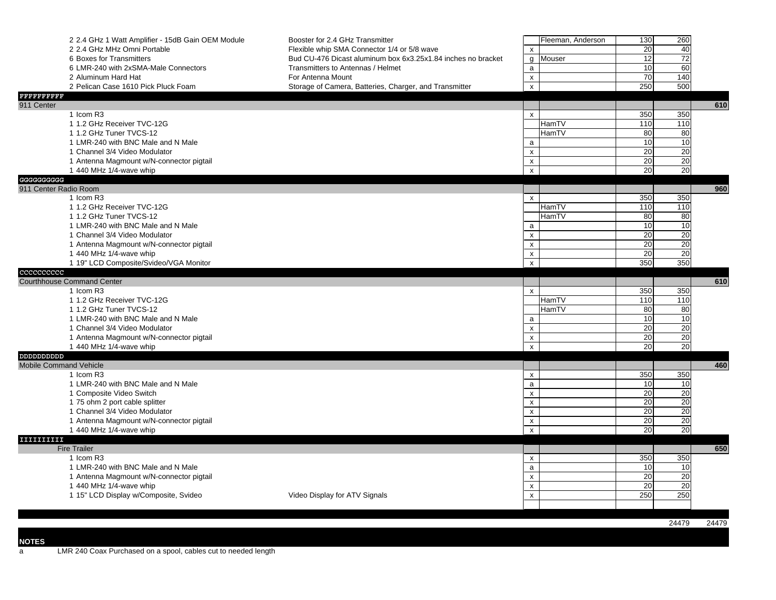|                               | 2 2.4 GHz 1 Watt Amplifier - 15dB Gain OEM Module | Booster for 2.4 GHz Transmitter                              |                           | Fleeman, Anderson | 130             | 260      |       |
|-------------------------------|---------------------------------------------------|--------------------------------------------------------------|---------------------------|-------------------|-----------------|----------|-------|
|                               | 2 2.4 GHz MHz Omni Portable                       | Flexible whip SMA Connector 1/4 or 5/8 wave                  | X                         |                   | 20              | 40       |       |
|                               | 6 Boxes for Transmitters                          | Bud CU-476 Dicast aluminum box 6x3.25x1.84 inches no bracket | g                         | Mouser            | 12              | 72       |       |
|                               | 6 LMR-240 with 2xSMA-Male Connectors              | Transmitters to Antennas / Helmet                            | a                         |                   | 10              | 60       |       |
|                               | 2 Aluminum Hard Hat                               | For Antenna Mount                                            | $\pmb{\mathsf{x}}$        |                   | 70              | 140      |       |
|                               | 2 Pelican Case 1610 Pick Pluck Foam               | Storage of Camera, Batteries, Charger, and Transmitter       | $\pmb{\times}$            |                   | 250             | 500      |       |
| FFFFFFFFFFF                   |                                                   |                                                              |                           |                   |                 |          |       |
| 911 Center                    |                                                   |                                                              |                           |                   |                 |          | 610   |
|                               | 1 Icom R3                                         |                                                              | $\mathsf{x}$              |                   | 350             | 350      |       |
|                               | 1 1.2 GHz Receiver TVC-12G                        |                                                              |                           | HamTV             | 110             | 110      |       |
|                               | 1 1.2 GHz Tuner TVCS-12                           |                                                              |                           | HamTV             | 80              | 80       |       |
|                               | 1 LMR-240 with BNC Male and N Male                |                                                              | $\mathsf{a}$              |                   | 10              | 10       |       |
|                               | 1 Channel 3/4 Video Modulator                     |                                                              | $\pmb{\times}$            |                   | 20              | 20       |       |
|                               | 1 Antenna Magmount w/N-connector pigtail          |                                                              | $\pmb{\mathsf{x}}$        |                   | 20              | 20       |       |
|                               | 1 440 MHz 1/4-wave whip                           |                                                              | $\pmb{\mathsf{x}}$        |                   | 20              | 20       |       |
| GGGGGGGGGG                    |                                                   |                                                              |                           |                   |                 |          |       |
| 911 Center Radio Room         | 1 Icom R3                                         |                                                              | $\mathsf{x}$              |                   | 350             | 350      | 960   |
|                               | 1 1.2 GHz Receiver TVC-12G                        |                                                              |                           | HamTV             | 110             | 110      |       |
|                               | 1 1.2 GHz Tuner TVCS-12                           |                                                              |                           | HamTV             | 80              | 80       |       |
|                               | 1 LMR-240 with BNC Male and N Male                |                                                              | $\mathsf{a}$              |                   | 10              | 10       |       |
|                               | 1 Channel 3/4 Video Modulator                     |                                                              | $\pmb{\times}$            |                   | 20              | 20       |       |
|                               | 1 Antenna Magmount w/N-connector pigtail          |                                                              | $\mathsf{x}$              |                   | 20              | 20       |       |
|                               | 1 440 MHz 1/4-wave whip                           |                                                              | $\pmb{\times}$            |                   | 20              | 20       |       |
|                               | 1 19" LCD Composite/Svideo/VGA Monitor            |                                                              | $\pmb{\times}$            |                   | 350             | 350      |       |
| cccccccccc                    |                                                   |                                                              |                           |                   |                 |          |       |
|                               | <b>Courthhouse Command Center</b>                 |                                                              |                           |                   |                 |          | 610   |
|                               | 1 Icom R3                                         |                                                              | $\mathsf{x}$              |                   | 350             | 350      |       |
|                               | 1 1.2 GHz Receiver TVC-12G                        |                                                              |                           | HamTV             | 110             | 110      |       |
|                               | 1 1.2 GHz Tuner TVCS-12                           |                                                              |                           | HamTV             | 80              | 80       |       |
|                               | 1 LMR-240 with BNC Male and N Male                |                                                              | $\mathsf{a}$              |                   | 10              | 10       |       |
|                               | 1 Channel 3/4 Video Modulator                     |                                                              | $\pmb{\times}$            |                   | 20              | 20       |       |
|                               | 1 Antenna Magmount w/N-connector pigtail          |                                                              | $\pmb{\mathsf{x}}$        |                   | $\overline{20}$ | 20       |       |
|                               | 1 440 MHz 1/4-wave whip                           |                                                              | $\mathsf{x}$              |                   | 20              | 20       |       |
|                               |                                                   |                                                              |                           |                   |                 |          |       |
| <b>Mobile Command Vehicle</b> |                                                   |                                                              |                           |                   |                 |          | 460   |
|                               | 1 Icom R3                                         |                                                              | X                         |                   | 350             | 350      |       |
|                               | 1 LMR-240 with BNC Male and N Male                |                                                              | a                         |                   | 10              | 10       |       |
|                               | 1 Composite Video Switch                          |                                                              | $\pmb{\mathsf{x}}$        |                   | 20              | 20       |       |
|                               | 1 75 ohm 2 port cable splitter                    |                                                              | $\mathsf{x}$              |                   | 20              | 20       |       |
|                               | 1 Channel 3/4 Video Modulator                     |                                                              | $\pmb{\times}$            |                   | 20              | 20       |       |
|                               | 1 Antenna Magmount w/N-connector pigtail          |                                                              | $\pmb{\times}$            |                   | 20<br>20        | 20<br>20 |       |
|                               | 1 440 MHz 1/4-wave whip                           |                                                              | $\mathsf{x}$              |                   |                 |          |       |
| IIIIIIIIII                    | <b>Fire Trailer</b>                               |                                                              |                           |                   |                 |          | 650   |
|                               | 1 Icom R3                                         |                                                              | $\boldsymbol{\mathsf{x}}$ |                   | 350             | 350      |       |
|                               | 1 LMR-240 with BNC Male and N Male                |                                                              | $\mathsf{a}$              |                   | 10              | 10       |       |
|                               | 1 Antenna Magmount w/N-connector pigtail          |                                                              | $\pmb{\times}$            |                   | 20              | 20       |       |
|                               | 1 440 MHz 1/4-wave whip                           |                                                              | $\pmb{\times}$            |                   | 20              | 20       |       |
|                               | 1 15" LCD Display w/Composite, Svideo             | Video Display for ATV Signals                                | $\pmb{\mathsf{x}}$        |                   | 250             | 250      |       |
|                               |                                                   |                                                              |                           |                   |                 |          |       |
|                               |                                                   |                                                              |                           |                   |                 |          |       |
|                               |                                                   |                                                              |                           |                   |                 | 24479    | 24479 |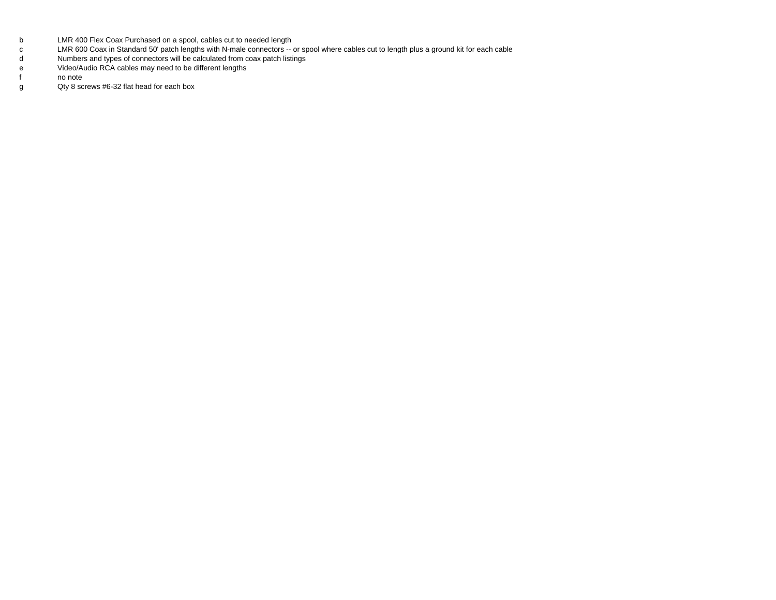- bLMR 400 Flex Coax Purchased on a spool, cables cut to needed length
- cLMR 600 Coax in Standard 50' patch lengths with N-male connectors -- or spool where cables cut to length plus a ground kit for each cable
- dNumbers and types of connectors will be calculated from coax patch listings
- eVideo/Audio RCA cables may need to be different lengths
- ff no note
- g Qty 8 screws #6-32 flat head for each box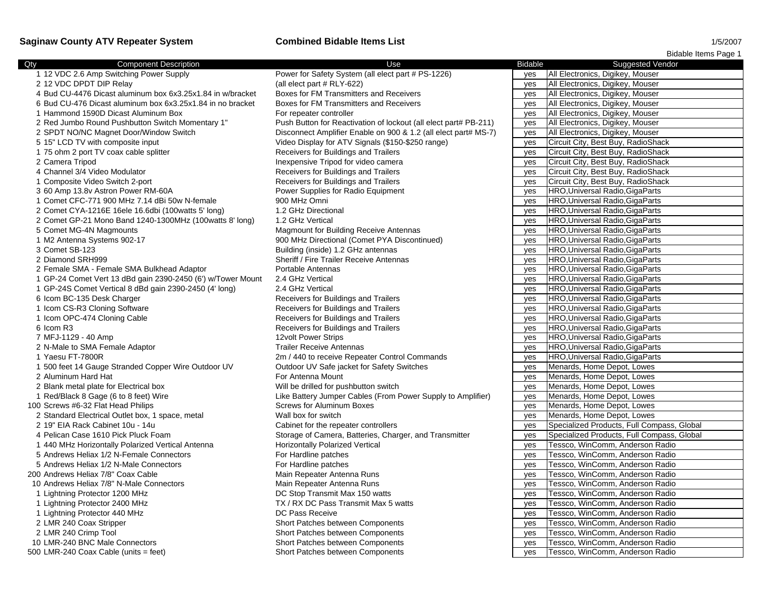## **Saginaw County ATV Repeater System Combined Bidable Items List** 1/5/2007

|                                                             |                                                                  |                | Bidable Items Page 1                       |
|-------------------------------------------------------------|------------------------------------------------------------------|----------------|--------------------------------------------|
| <b>Component Description</b><br>Qty                         | Use                                                              | <b>Bidable</b> | <b>Suggested Vendor</b>                    |
| 1 12 VDC 2.6 Amp Switching Power Supply                     | Power for Safety System (all elect part # PS-1226)               | yes            | All Electronics, Digikey, Mouser           |
| 2 12 VDC DPDT DIP Relay                                     | (all elect part # RLY-622)                                       | yes            | All Electronics, Digikey, Mouser           |
| 4 Bud CU-4476 Dicast aluminum box 6x3.25x1.84 in w/bracket  | Boxes for FM Transmitters and Receivers                          | yes            | All Electronics, Digikey, Mouser           |
| 6 Bud CU-476 Dicast aluminum box 6x3.25x1.84 in no bracket  | Boxes for FM Transmitters and Receivers                          | yes            | All Electronics, Digikey, Mouser           |
| 1 Hammond 1590D Dicast Aluminum Box                         | For repeater controller                                          | yes            | All Electronics, Digikey, Mouser           |
| 2 Red Jumbo Round Pushbutton Switch Momentary 1"            | Push Button for Reactivation of lockout (all elect part# PB-211) | yes            | All Electronics, Digikey, Mouser           |
| 2 SPDT NO/NC Magnet Door/Window Switch                      | Disconnect Amplifier Enable on 900 & 1.2 (all elect part# MS-7)  | yes            | All Electronics, Digikey, Mouser           |
| 5 15" LCD TV with composite input                           | Video Display for ATV Signals (\$150-\$250 range)                | yes            | Circuit City, Best Buy, RadioShack         |
| 1 75 ohm 2 port TV coax cable splitter                      | Receivers for Buildings and Trailers                             | yes            | Circuit City, Best Buy, RadioShack         |
| 2 Camera Tripod                                             | Inexpensive Tripod for video camera                              | yes            | Circuit City, Best Buy, RadioShack         |
| 4 Channel 3/4 Video Modulator                               | Receivers for Buildings and Trailers                             | yes            | Circuit City, Best Buy, RadioShack         |
| 1 Composite Video Switch 2-port                             | Receivers for Buildings and Trailers                             | yes            | Circuit City, Best Buy, RadioShack         |
| 3 60 Amp 13.8v Astron Power RM-60A                          | Power Supplies for Radio Equipment                               | yes            | HRO, Universal Radio, GigaParts            |
| 1 Comet CFC-771 900 MHz 7.14 dBi 50w N-female               | 900 MHz Omni                                                     | yes            | HRO, Universal Radio, GigaParts            |
| 2 Comet CYA-1216E 16ele 16.6dbi (100 watts 5' long)         | 1.2 GHz Directional                                              | yes            | HRO, Universal Radio, GigaParts            |
| 2 Comet GP-21 Mono Band 1240-1300MHz (100 watts 8' long)    | 1.2 GHz Vertical                                                 | yes            | HRO, Universal Radio, GigaParts            |
| 5 Comet MG-4N Magmounts                                     | Magmount for Building Receive Antennas                           | yes            | HRO, Universal Radio, GigaParts            |
| 1 M2 Antenna Systems 902-17                                 | 900 MHz Directional (Comet PYA Discontinued)                     | yes            | HRO, Universal Radio, GigaParts            |
| 3 Comet SB-123                                              | Building (inside) 1.2 GHz antennas                               | yes            | HRO, Universal Radio, GigaParts            |
| 2 Diamond SRH999                                            | Sheriff / Fire Trailer Receive Antennas                          | yes            | HRO, Universal Radio, GigaParts            |
| 2 Female SMA - Female SMA Bulkhead Adaptor                  | Portable Antennas                                                | yes            | HRO, Universal Radio, GigaParts            |
| 1 GP-24 Comet Vert 13 dBd gain 2390-2450 (6') w/Tower Mount | 2.4 GHz Vertical                                                 | yes            | HRO, Universal Radio, GigaParts            |
| 1 GP-24S Comet Vertical 8 dBd gain 2390-2450 (4' long)      | 2.4 GHz Vertical                                                 | yes            | HRO, Universal Radio, GigaParts            |
| 6 Icom BC-135 Desk Charger                                  | Receivers for Buildings and Trailers                             | yes            | HRO, Universal Radio, GigaParts            |
| 1 Icom CS-R3 Cloning Software                               | Receivers for Buildings and Trailers                             | yes            | HRO, Universal Radio, GigaParts            |
| 1 Icom OPC-474 Cloning Cable                                | Receivers for Buildings and Trailers                             | yes            | HRO, Universal Radio, GigaParts            |
| 6 Icom R3                                                   | Receivers for Buildings and Trailers                             | yes            | HRO, Universal Radio, GigaParts            |
| 7 MFJ-1129 - 40 Amp                                         | 12volt Power Strips                                              | yes            | HRO, Universal Radio, GigaParts            |
| 2 N-Male to SMA Female Adaptor                              | <b>Trailer Receive Antennas</b>                                  | yes            | HRO, Universal Radio, GigaParts            |
| 1 Yaesu FT-7800R                                            | 2m / 440 to receive Repeater Control Commands                    | yes            | HRO, Universal Radio, GigaParts            |
| 1 500 feet 14 Gauge Stranded Copper Wire Outdoor UV         | Outdoor UV Safe jacket for Safety Switches                       | yes            | Menards, Home Depot, Lowes                 |
| 2 Aluminum Hard Hat                                         | For Antenna Mount                                                | yes            | Menards, Home Depot, Lowes                 |
| 2 Blank metal plate for Electrical box                      | Will be drilled for pushbutton switch                            | yes            | Menards, Home Depot, Lowes                 |
| 1 Red/Black 8 Gage (6 to 8 feet) Wire                       | Like Battery Jumper Cables (From Power Supply to Amplifier)      | yes            | Menards, Home Depot, Lowes                 |
| 100 Screws #6-32 Flat Head Philips                          | <b>Screws for Aluminum Boxes</b>                                 | yes            | Menards, Home Depot, Lowes                 |
| 2 Standard Electrical Outlet box, 1 space, metal            | Wall box for switch                                              | yes            | Menards, Home Depot, Lowes                 |
| 2 19" EIA Rack Cabinet 10u - 14u                            | Cabinet for the repeater controllers                             | yes            | Specialized Products, Full Compass, Global |
| 4 Pelican Case 1610 Pick Pluck Foam                         | Storage of Camera, Batteries, Charger, and Transmitter           | yes            | Specialized Products, Full Compass, Global |
| 1 440 MHz Horizontally Polarized Vertical Antenna           | Horizontally Polarized Vertical                                  | yes            | Tessco, WinComm, Anderson Radio            |
| 5 Andrews Heliax 1/2 N-Female Connectors                    | For Hardline patches                                             | yes            | Tessco, WinComm, Anderson Radio            |
| 5 Andrews Heliax 1/2 N-Male Connectors                      | For Hardline patches                                             | yes            | Tessco, WinComm, Anderson Radio            |
| 200 Andrews Heliax 7/8" Coax Cable                          | Main Repeater Antenna Runs                                       | yes            | Tessco, WinComm, Anderson Radio            |
| 10 Andrews Heliax 7/8" N-Male Connectors                    | Main Repeater Antenna Runs                                       | yes            | Tessco, WinComm, Anderson Radio            |
| 1 Lightning Protector 1200 MHz                              | DC Stop Transmit Max 150 watts                                   | yes            | Tessco, WinComm, Anderson Radio            |
| 1 Lightning Protector 2400 MHz                              | TX / RX DC Pass Transmit Max 5 watts                             | yes            | Tessco, WinComm, Anderson Radio            |
| 1 Lightning Protector 440 MHz                               | DC Pass Receive                                                  | yes            | Tessco, WinComm, Anderson Radio            |
| 2 LMR 240 Coax Stripper                                     | Short Patches between Components                                 | yes            | Tessco, WinComm, Anderson Radio            |
| 2 LMR 240 Crimp Tool                                        | Short Patches between Components                                 | yes            | Tessco, WinComm, Anderson Radio            |
| 10 LMR-240 BNC Male Connectors                              | Short Patches between Components                                 | yes            | Tessco, WinComm, Anderson Radio            |
| 500 LMR-240 Coax Cable (units = feet)                       | <b>Short Patches between Components</b>                          | ves            | Tessco, WinComm, Anderson Radio            |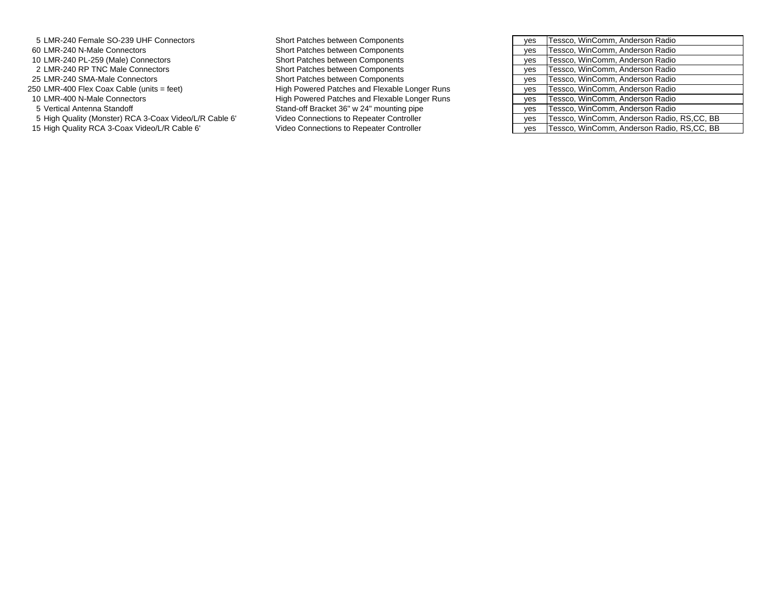| 5 LMR-240 Female SO-239 UHF Connectors                 | Short Patches between Components              | yes | Tessco, WinComm, Anderson Radio            |
|--------------------------------------------------------|-----------------------------------------------|-----|--------------------------------------------|
| 60 LMR-240 N-Male Connectors                           | Short Patches between Components              | yes | Tessco, WinComm, Anderson Radio            |
| 10 LMR-240 PL-259 (Male) Connectors                    | Short Patches between Components              | yes | Tessco, WinComm, Anderson Radio            |
| 2 LMR-240 RP TNC Male Connectors                       | Short Patches between Components              | yes | Tessco, WinComm, Anderson Radio            |
| 25 LMR-240 SMA-Male Connectors                         | Short Patches between Components              | yes | Tessco, WinComm, Anderson Radio            |
| 50 LMR-400 Flex Coax Cable (units = feet)              | High Powered Patches and Flexable Longer Runs | ves | Tessco, WinComm, Anderson Radio            |
| 10 LMR-400 N-Male Connectors                           | High Powered Patches and Flexable Longer Runs | yes | Tessco, WinComm, Anderson Radio            |
| 5 Vertical Antenna Standoff                            | Stand-off Bracket 36" w 24" mounting pipe     | yes | Tessco, WinComm, Anderson Radio            |
| 5 High Quality (Monster) RCA 3-Coax Video/L/R Cable 6' | Video Connections to Repeater Controller      | yes | Tessco, WinComm, Anderson Radio, RS,CC, BB |
| 15 High Quality RCA 3-Coax Video/L/R Cable 6'          | Video Connections to Repeater Controller      | ves | Tessco, WinComm, Anderson Radio, RS.CC, BB |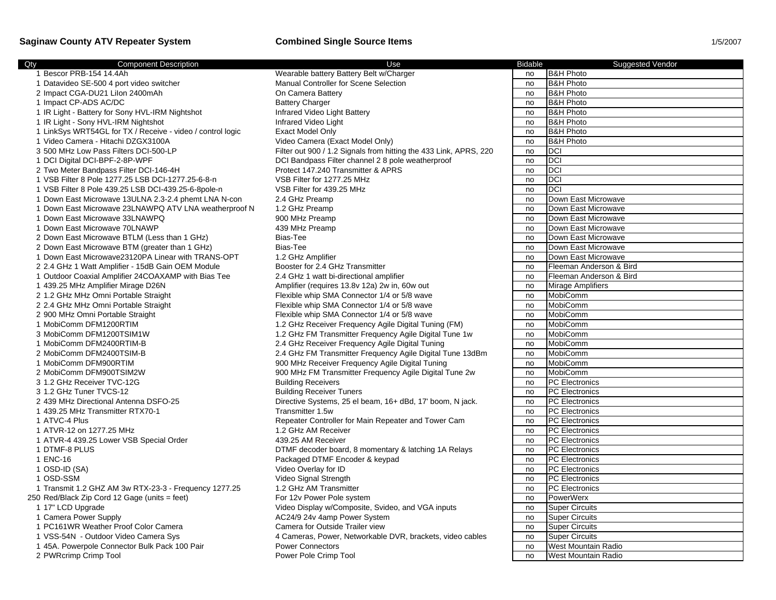## **Saginaw County ATV Repeater System <b>Combined Single Source Items**

| 1/5/2007 |  |
|----------|--|
|----------|--|

| <b>Component Description</b><br>Qty                        | Use                                                               | <b>Bidable</b> | <b>Suggested Vendor</b>    |
|------------------------------------------------------------|-------------------------------------------------------------------|----------------|----------------------------|
| 1 Bescor PRB-154 14.4Ah                                    | Wearable battery Battery Belt w/Charger                           | no             | <b>B&amp;H Photo</b>       |
| 1 Datavideo SE-500 4 port video switcher                   | Manual Controller for Scene Selection                             | no             | <b>B&amp;H Photo</b>       |
| 2 Impact CGA-DU21 Lilon 2400mAh                            | On Camera Battery                                                 | no             | <b>B&amp;H Photo</b>       |
| 1 Impact CP-ADS AC/DC                                      | <b>Battery Charger</b>                                            | no             | <b>B&amp;H Photo</b>       |
| 1 IR Light - Battery for Sony HVL-IRM Nightshot            | Infrared Video Light Battery                                      | no             | <b>B&amp;H Photo</b>       |
| 1 IR Light - Sony HVL-IRM Nightshot                        | Infrared Video Light                                              | no             | <b>B&amp;H Photo</b>       |
| 1 LinkSys WRT54GL for TX / Receive - video / control logic | <b>Exact Model Only</b>                                           | no             | <b>B&amp;H Photo</b>       |
| 1 Video Camera - Hitachi DZGX3100A                         | Video Camera (Exact Model Only)                                   | no             | <b>B&amp;H Photo</b>       |
| 3 500 MHz Low Pass Filters DCI-500-LP                      | Filter out 900 / 1.2 Signals from hitting the 433 Link, APRS, 220 | no             | DCI                        |
| 1 DCI Digital DCI-BPF-2-8P-WPF                             | DCI Bandpass Filter channel 2 8 pole weatherproof                 | no             | <b>DCI</b>                 |
| 2 Two Meter Bandpass Filter DCI-146-4H                     | Protect 147.240 Transmitter & APRS                                | no             | <b>DCI</b>                 |
| 1 VSB Filter 8 Pole 1277.25 LSB DCI-1277.25-6-8-n          | VSB Filter for 1277.25 MHz                                        | no             | <b>DCI</b>                 |
| 1 VSB Filter 8 Pole 439.25 LSB DCI-439.25-6-8pole-n        | VSB Filter for 439.25 MHz                                         | no             | <b>DCI</b>                 |
| 1 Down East Microwave 13ULNA 2.3-2.4 phemt LNA N-con       | 2.4 GHz Preamp                                                    | no             | Down East Microwave        |
| 1 Down East Microwave 23LNAWPQ ATV LNA weatherproof N      | 1.2 GHz Preamp                                                    | no             | Down East Microwave        |
| 1 Down East Microwave 33LNAWPQ                             | 900 MHz Preamp                                                    | no             | Down East Microwave        |
| 1 Down East Microwave 70LNAWP                              | 439 MHz Preamp                                                    | no             | Down East Microwave        |
| 2 Down East Microwave BTLM (Less than 1 GHz)               | Bias-Tee                                                          | no             | Down East Microwave        |
| 2 Down East Microwave BTM (greater than 1 GHz)             | Bias-Tee                                                          | no             | Down East Microwave        |
| 1 Down East Microwave23120PA Linear with TRANS-OPT         | 1.2 GHz Amplifier                                                 | no             | Down East Microwave        |
| 2 2.4 GHz 1 Watt Amplifier - 15dB Gain OEM Module          | Booster for 2.4 GHz Transmitter                                   | no             | Fleeman Anderson & Bird    |
| 1 Outdoor Coaxial Amplifier 24COAXAMP with Bias Tee        | 2.4 GHz 1 watt bi-directional amplifier                           | no             | Fleeman Anderson & Bird    |
| 1 439.25 MHz Amplifier Mirage D26N                         | Amplifier (requires 13.8v 12a) 2w in, 60w out                     | no             | <b>Mirage Amplifiers</b>   |
| 2 1.2 GHz MHz Omni Portable Straight                       | Flexible whip SMA Connector 1/4 or 5/8 wave                       | no             | MobiComm                   |
| 2 2.4 GHz MHz Omni Portable Straight                       | Flexible whip SMA Connector 1/4 or 5/8 wave                       | no             | MobiComm                   |
| 2 900 MHz Omni Portable Straight                           | Flexible whip SMA Connector 1/4 or 5/8 wave                       | no             | MobiComm                   |
| 1 MobiComm DFM1200RTIM                                     | 1.2 GHz Receiver Frequency Agile Digital Tuning (FM)              | no             | MobiComm                   |
| 3 MobiComm DFM1200TSIM1W                                   | 1.2 GHz FM Transmitter Frequency Agile Digital Tune 1w            | no             | MobiComm                   |
| 1 MobiComm DFM2400RTIM-B                                   | 2.4 GHz Receiver Frequency Agile Digital Tuning                   | no             | MobiComm                   |
| 2 MobiComm DFM2400TSIM-B                                   | 2.4 GHz FM Transmitter Frequency Agile Digital Tune 13dBm         | no             | MobiComm                   |
| 1 MobiComm DFM900RTIM                                      | 900 MHz Receiver Frequency Agile Digital Tuning                   | no             | MobiComm                   |
| 2 MobiComm DFM900TSIM2W                                    | 900 MHz FM Transmitter Frequency Agile Digital Tune 2w            | no             | MobiComm                   |
| 3 1.2 GHz Receiver TVC-12G                                 | <b>Building Receivers</b>                                         | no             | <b>PC</b> Electronics      |
| 3 1.2 GHz Tuner TVCS-12                                    | <b>Building Receiver Tuners</b>                                   | no             | <b>PC</b> Electronics      |
| 2 439 MHz Directional Antenna DSFO-25                      | Directive Systems, 25 el beam, 16+ dBd, 17' boom, N jack.         | no             | <b>PC</b> Electronics      |
| 1 439.25 MHz Transmitter RTX70-1                           | Transmitter 1.5w                                                  | no             | <b>PC</b> Electronics      |
| 1 ATVC-4 Plus                                              | Repeater Controller for Main Repeater and Tower Cam               | no             | <b>PC Electronics</b>      |
| 1 ATVR-12 on 1277.25 MHz                                   | 1.2 GHz AM Receiver                                               | no             | <b>PC</b> Electronics      |
| 1 ATVR-4 439.25 Lower VSB Special Order                    | 439.25 AM Receiver                                                | no             | <b>PC Electronics</b>      |
| 1 DTMF-8 PLUS                                              | DTMF decoder board, 8 momentary & latching 1A Relays              | no             | <b>PC</b> Electronics      |
| 1 ENC-16                                                   | Packaged DTMF Encoder & keypad                                    | no             | <b>PC</b> Electronics      |
| 1 OSD-ID (SA)                                              | Video Overlay for ID                                              | no             | <b>PC</b> Electronics      |
| 1 OSD-SSM                                                  | Video Signal Strength                                             | no             | <b>PC</b> Electronics      |
| 1 Transmit 1.2 GHZ AM 3w RTX-23-3 - Frequency 1277.25      | 1.2 GHz AM Transmitter                                            | no             | <b>PC</b> Electronics      |
| 250 Red/Black Zip Cord 12 Gage (units = feet)              | For 12v Power Pole system                                         | no             | PowerWerx                  |
| 1 17" LCD Upgrade                                          | Video Display w/Composite, Svideo, and VGA inputs                 | no             | <b>Super Circuits</b>      |
| 1 Camera Power Supply                                      | AC24/9 24v 4amp Power System                                      | no             | <b>Super Circuits</b>      |
| 1 PC161WR Weather Proof Color Camera                       | Camera for Outside Trailer view                                   | no             | <b>Super Circuits</b>      |
| 1 VSS-54N - Outdoor Video Camera Sys                       | 4 Cameras, Power, Networkable DVR, brackets, video cables         | no             | <b>Super Circuits</b>      |
| 1 45A. Powerpole Connector Bulk Pack 100 Pair              | <b>Power Connectors</b>                                           | no             | <b>West Mountain Radio</b> |
| 2 PWRcrimp Crimp Tool                                      | Power Pole Crimp Tool                                             | no             | West Mountain Radio        |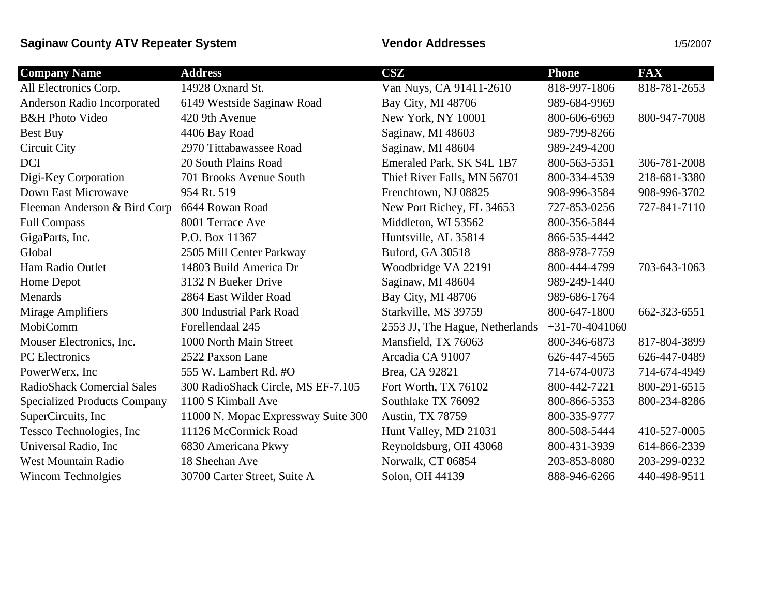# **Saginaw County ATV Repeater System Vendor Addresses** 1/5/2007

| <b>Company Name</b>                 | <b>Address</b>                      | <b>CSZ</b>                      | <b>Phone</b>     | <b>FAX</b>   |
|-------------------------------------|-------------------------------------|---------------------------------|------------------|--------------|
| All Electronics Corp.               | 14928 Oxnard St.                    | Van Nuys, CA 91411-2610         | 818-997-1806     | 818-781-2653 |
| Anderson Radio Incorporated         | 6149 Westside Saginaw Road          | Bay City, MI 48706              | 989-684-9969     |              |
| <b>B&amp;H Photo Video</b>          | 420 9th Avenue                      | New York, NY 10001              | 800-606-6969     | 800-947-7008 |
| Best Buy                            | 4406 Bay Road                       | Saginaw, MI 48603               | 989-799-8266     |              |
| Circuit City                        | 2970 Tittabawassee Road             | Saginaw, MI 48604               | 989-249-4200     |              |
| <b>DCI</b>                          | 20 South Plains Road                | Emeraled Park, SK S4L 1B7       | 800-563-5351     | 306-781-2008 |
| Digi-Key Corporation                | 701 Brooks Avenue South             | Thief River Falls, MN 56701     | 800-334-4539     | 218-681-3380 |
| Down East Microwave                 | 954 Rt. 519                         | Frenchtown, NJ 08825            | 908-996-3584     | 908-996-3702 |
| Fleeman Anderson & Bird Corp        | 6644 Rowan Road                     | New Port Richey, FL 34653       | 727-853-0256     | 727-841-7110 |
| <b>Full Compass</b>                 | 8001 Terrace Ave                    | Middleton, WI 53562             | 800-356-5844     |              |
| GigaParts, Inc.                     | P.O. Box 11367                      | Huntsville, AL 35814            | 866-535-4442     |              |
| Global                              | 2505 Mill Center Parkway            | Buford, GA 30518                | 888-978-7759     |              |
| Ham Radio Outlet                    | 14803 Build America Dr              | Woodbridge VA 22191             | 800-444-4799     | 703-643-1063 |
| Home Depot                          | 3132 N Bueker Drive                 | Saginaw, MI 48604               | 989-249-1440     |              |
| Menards                             | 2864 East Wilder Road               | Bay City, MI 48706              | 989-686-1764     |              |
| Mirage Amplifiers                   | 300 Industrial Park Road            | Starkville, MS 39759            | 800-647-1800     | 662-323-6551 |
| MobiComm                            | Forellendaal 245                    | 2553 JJ, The Hague, Netherlands | $+31-70-4041060$ |              |
| Mouser Electronics, Inc.            | 1000 North Main Street              | Mansfield, TX 76063             | 800-346-6873     | 817-804-3899 |
| PC Electronics                      | 2522 Paxson Lane                    | Arcadia CA 91007                | 626-447-4565     | 626-447-0489 |
| PowerWerx, Inc.                     | 555 W. Lambert Rd. #O               | Brea, CA 92821                  | 714-674-0073     | 714-674-4949 |
| <b>RadioShack Comercial Sales</b>   | 300 RadioShack Circle, MS EF-7.105  | Fort Worth, TX 76102            | 800-442-7221     | 800-291-6515 |
| <b>Specialized Products Company</b> | 1100 S Kimball Ave                  | Southlake TX 76092              | 800-866-5353     | 800-234-8286 |
| SuperCircuits, Inc.                 | 11000 N. Mopac Expressway Suite 300 | Austin, TX 78759                | 800-335-9777     |              |
| Tessco Technologies, Inc.           | 11126 McCormick Road                | Hunt Valley, MD 21031           | 800-508-5444     | 410-527-0005 |
| Universal Radio, Inc                | 6830 Americana Pkwy                 | Reynoldsburg, OH 43068          | 800-431-3939     | 614-866-2339 |
| <b>West Mountain Radio</b>          | 18 Sheehan Ave                      | Norwalk, CT 06854               | 203-853-8080     | 203-299-0232 |
| Wincom Technolgies                  | 30700 Carter Street, Suite A        | Solon, OH 44139                 | 888-946-6266     | 440-498-9511 |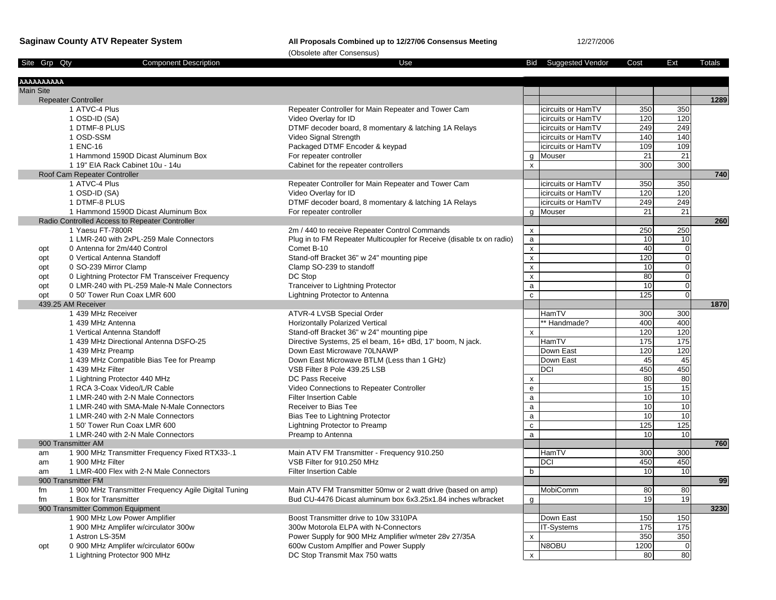## **Saginaw County ATV Repeater System All Proposals Combined up to 12/27/06 Consensus Meeting** 12/27/2006

|                   |                                                              | (Obsolete after Consensus)                                                               |                    |                             |                 |                 |               |
|-------------------|--------------------------------------------------------------|------------------------------------------------------------------------------------------|--------------------|-----------------------------|-----------------|-----------------|---------------|
| Site Grp Qty      | <b>Component Description</b>                                 | Use                                                                                      |                    | <b>Bid</b> Suggested Vendor | Cost            | Ext             | <b>Totals</b> |
| <b>AAAAAAAAAA</b> |                                                              |                                                                                          |                    |                             |                 |                 |               |
| <b>Main Site</b>  |                                                              |                                                                                          |                    |                             |                 |                 |               |
|                   | <b>Repeater Controller</b>                                   |                                                                                          |                    |                             |                 |                 | 1289          |
|                   | 1 ATVC-4 Plus                                                | Repeater Controller for Main Repeater and Tower Cam                                      |                    | icircuits or HamTV          | 350             | 350             |               |
|                   | 1 OSD-ID (SA)                                                | Video Overlay for ID                                                                     |                    | icircuits or HamTV          | 120             | 120             |               |
|                   | 1 DTMF-8 PLUS                                                | DTMF decoder board, 8 momentary & latching 1A Relays                                     |                    | icircuits or HamTV          | 249             | 249             |               |
|                   | 1 OSD-SSM                                                    | Video Signal Strength                                                                    |                    | icircuits or HamTV          | 140             | 140             |               |
|                   | 1 ENC-16                                                     | Packaged DTMF Encoder & keypad                                                           |                    | icircuits or HamTV          | 109             | 109             |               |
|                   | 1 Hammond 1590D Dicast Aluminum Box                          | For repeater controller                                                                  |                    | g Mouser                    | 21              | $\overline{21}$ |               |
|                   | 1 19" EIA Rack Cabinet 10u - 14u                             | Cabinet for the repeater controllers                                                     | $\mathsf{x}$       |                             | 300             | 300             |               |
|                   | Roof Cam Repeater Controller                                 |                                                                                          |                    |                             |                 |                 | 740           |
|                   | 1 ATVC-4 Plus                                                | Repeater Controller for Main Repeater and Tower Cam                                      |                    | icircuits or HamTV          | 350             | 350             |               |
|                   | 1 OSD-ID (SA)                                                | Video Overlay for ID                                                                     |                    | icircuits or HamTV          | 120             | 120             |               |
|                   | 1 DTMF-8 PLUS                                                | DTMF decoder board, 8 momentary & latching 1A Relays                                     |                    | icircuits or HamTV          | 249             | 249             |               |
|                   | 1 Hammond 1590D Dicast Aluminum Box                          | For repeater controller                                                                  |                    | q Mouser                    | 21              | $\overline{21}$ |               |
|                   | Radio Controlled Access to Repeater Controller               |                                                                                          |                    |                             |                 |                 | 260           |
|                   | 1 Yaesu FT-7800R                                             | 2m / 440 to receive Repeater Control Commands                                            | $\mathsf{x}$       |                             | 250             | 250             |               |
|                   | 1 LMR-240 with 2xPL-259 Male Connectors                      | Plug in to FM Repeater Multicoupler for Receive (disable tx on radio)                    | $\mathsf{a}$       |                             | 10              | 10              |               |
| opt               | 0 Antenna for 2m/440 Control                                 | Comet B-10                                                                               | $\pmb{\mathsf{x}}$ |                             | 40              | $\mathbf 0$     |               |
| opt               | 0 Vertical Antenna Standoff                                  | Stand-off Bracket 36" w 24" mounting pipe                                                | $\pmb{\mathsf{x}}$ |                             | 120             | $\mathbf 0$     |               |
| opt               | 0 SO-239 Mirror Clamp                                        | Clamp SO-239 to standoff                                                                 | $\pmb{\mathsf{x}}$ |                             | 10              | $\overline{0}$  |               |
| opt               | 0 Lightning Protector FM Transceiver Frequency               | DC Stop                                                                                  | $\pmb{\mathsf{x}}$ |                             | 80              | $\mathbf 0$     |               |
| opt               | 0 LMR-240 with PL-259 Male-N Male Connectors                 | Tranceiver to Lightning Protector                                                        | a                  |                             | $\overline{10}$ | $\overline{0}$  |               |
| opt               | 0 50' Tower Run Coax LMR 600                                 | Lightning Protector to Antenna                                                           | $\mathbf{c}$       |                             | 125             | $\mathbf 0$     |               |
|                   | 439.25 AM Receiver                                           |                                                                                          |                    |                             |                 |                 | 1870          |
|                   | 1 439 MHz Receiver                                           | ATVR-4 LVSB Special Order                                                                |                    | HamTV                       | 300             | 300             |               |
|                   | 1 439 MHz Antenna                                            | <b>Horizontally Polarized Vertical</b>                                                   |                    | * Handmade?                 | 400             | 400             |               |
|                   | 1 Vertical Antenna Standoff                                  | Stand-off Bracket 36" w 24" mounting pipe                                                | $\mathsf{x}$       |                             | 120             | 120<br>175      |               |
|                   | 1 439 MHz Directional Antenna DSFO-25                        | Directive Systems, 25 el beam, 16+ dBd, 17' boom, N jack.<br>Down East Microwave 70LNAWP |                    | HamTV<br>Down East          | 175<br>120      | 120             |               |
|                   | 1 439 MHz Preamp                                             |                                                                                          |                    | Down East                   | 45              | 45              |               |
|                   | 1 439 MHz Compatible Bias Tee for Preamp<br>1 439 MHz Filter | Down East Microwave BTLM (Less than 1 GHz)<br>VSB Filter 8 Pole 439.25 LSB               |                    | <b>DCI</b>                  | 450             | 450             |               |
|                   | 1 Lightning Protector 440 MHz                                | DC Pass Receive                                                                          | X                  |                             | 80              | 80              |               |
|                   | 1 RCA 3-Coax Video/L/R Cable                                 | Video Connections to Repeater Controller                                                 | e                  |                             | 15              | 15              |               |
|                   | 1 LMR-240 with 2-N Male Connectors                           | <b>Filter Insertion Cable</b>                                                            | a                  |                             | 10              | 10              |               |
|                   | 1 LMR-240 with SMA-Male N-Male Connectors                    | Receiver to Bias Tee                                                                     | a                  |                             | 10              | 10              |               |
|                   | 1 LMR-240 with 2-N Male Connectors                           | Bias Tee to Lightning Protector                                                          | $\mathsf{a}$       |                             | 10              | 10              |               |
|                   | 1 50' Tower Run Coax LMR 600                                 | Lightning Protector to Preamp                                                            | $\mathbf c$        |                             | 125             | 125             |               |
|                   | 1 LMR-240 with 2-N Male Connectors                           | Preamp to Antenna                                                                        | $\mathsf{a}$       |                             | 10              | 10              |               |
|                   | 900 Transmitter AM                                           |                                                                                          |                    |                             |                 |                 | 760           |
| am                | 1 900 MHz Transmitter Frequency Fixed RTX33-.1               | Main ATV FM Transmitter - Frequency 910.250                                              |                    | HamTV                       | 300             | 300             |               |
| am                | 1 900 MHz Filter                                             | VSB Filter for 910.250 MHz                                                               |                    | DCI                         | 450             | 450             |               |
| am                | 1 LMR-400 Flex with 2-N Male Connectors                      | <b>Filter Insertion Cable</b>                                                            | b                  |                             | 10              | 10              |               |
|                   | 900 Transmitter FM                                           |                                                                                          |                    |                             |                 |                 | 99            |
| fm                | 1 900 MHz Transmitter Frequency Agile Digital Tuning         | Main ATV FM Transmitter 50mw or 2 watt drive (based on amp)                              |                    | <b>MobiComm</b>             | 80              | 80              |               |
| fm                | 1 Box for Transmitter                                        | Bud CU-4476 Dicast aluminum box 6x3.25x1.84 inches w/bracket                             | g                  |                             | 19              | 19              |               |
|                   | 900 Transmitter Common Equipment                             |                                                                                          |                    |                             |                 |                 | 3230          |
|                   | 1 900 MHz Low Power Amplifier                                | Boost Transmitter drive to 10w 3310PA                                                    |                    | Down East                   | 150             | 150             |               |
|                   | 1 900 MHz Amplifer w/circulator 300w                         | 300w Motorola ELPA with N-Connectors                                                     |                    | <b>IT-Systems</b>           | 175             | 175             |               |
|                   | 1 Astron LS-35M                                              | Power Supply for 900 MHz Amplifier w/meter 28v 27/35A                                    | $\mathsf{x}$       |                             | 350             | 350             |               |
| opt               | 0 900 MHz Amplifer w/circulator 600w                         | 600w Custom Amplfier and Power Supply                                                    |                    | N8OBU                       | 1200            | $\mathbf 0$     |               |
|                   | 1 Lightning Protector 900 MHz                                | DC Stop Transmit Max 750 watts                                                           | $\mathsf{x}$       |                             | 80              | 80              |               |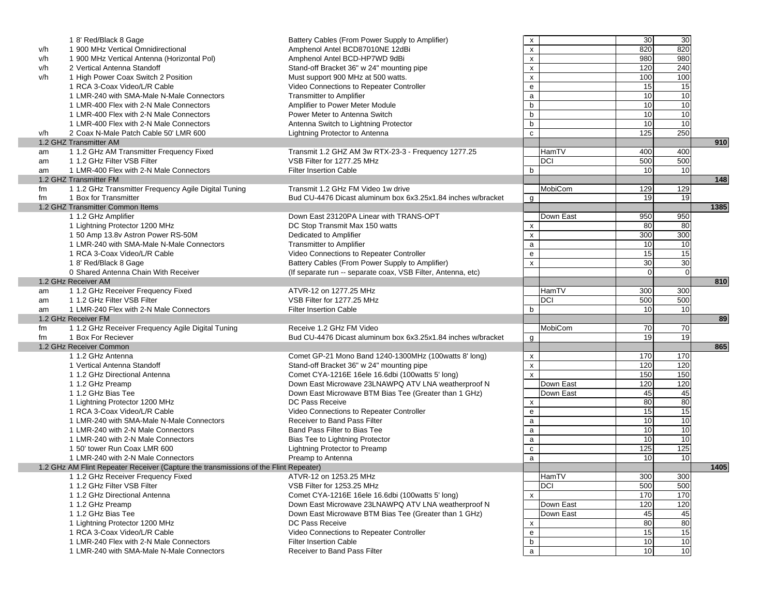|     | 1 8' Red/Black 8 Gage                                                                | Battery Cables (From Power Supply to Amplifier)              | X                  |                | 30              | 30              |      |
|-----|--------------------------------------------------------------------------------------|--------------------------------------------------------------|--------------------|----------------|-----------------|-----------------|------|
| v/h | 1 900 MHz Vertical Omnidirectional                                                   | Amphenol Antel BCD87010NE 12dBi                              | $\pmb{\mathsf{x}}$ |                | 820             | 820             |      |
| v/h | 1 900 MHz Vertical Antenna (Horizontal Pol)                                          | Amphenol Antel BCD-HP7WD 9dBi                                | $\pmb{\mathsf{x}}$ |                | 980             | 980             |      |
| v/h | 2 Vertical Antenna Standoff                                                          | Stand-off Bracket 36" w 24" mounting pipe                    | $\pmb{\mathsf{x}}$ |                | 120             | 240             |      |
| v/h | 1 High Power Coax Switch 2 Position                                                  | Must support 900 MHz at 500 watts.                           | $\pmb{\mathsf{x}}$ |                | 100             | 100             |      |
|     | 1 RCA 3-Coax Video/L/R Cable                                                         | Video Connections to Repeater Controller                     | ${\bf e}$          |                | 15              | 15              |      |
|     | 1 LMR-240 with SMA-Male N-Male Connectors                                            | <b>Transmitter to Amplifier</b>                              | $\mathsf{a}$       |                | $\overline{10}$ | 10              |      |
|     | 1 LMR-400 Flex with 2-N Male Connectors                                              | Amplifier to Power Meter Module                              | $\mathsf b$        |                | 10              | 10              |      |
|     | 1 LMR-400 Flex with 2-N Male Connectors                                              | Power Meter to Antenna Switch                                | $\mathsf b$        |                | $\overline{10}$ | 10              |      |
|     | 1 LMR-400 Flex with 2-N Male Connectors                                              | Antenna Switch to Lightning Protector                        | $\mathsf b$        |                | 10              | 10              |      |
|     |                                                                                      |                                                              |                    |                | 125             | 250             |      |
| v/h | 2 Coax N-Male Patch Cable 50' LMR 600                                                | Lightning Protector to Antenna                               | $\mathtt{c}$       |                |                 |                 |      |
|     | 1.2 GHZ Transmitter AM                                                               |                                                              |                    |                |                 |                 | 910  |
| am  | 1 1.2 GHz AM Transmitter Frequency Fixed                                             | Transmit 1.2 GHZ AM 3w RTX-23-3 - Frequency 1277.25          |                    | HamTV          | 400             | 400             |      |
| am  | 1 1.2 GHz Filter VSB Filter                                                          | VSB Filter for 1277.25 MHz                                   |                    | DCI            | 500             | 500             |      |
| am  | 1 LMR-400 Flex with 2-N Male Connectors                                              | <b>Filter Insertion Cable</b>                                | b                  |                | 10              | 10              |      |
|     | 1.2 GHZ Transmitter FM                                                               |                                                              |                    |                |                 |                 | 148  |
| fm  | 1 1.2 GHz Transmitter Frequency Agile Digital Tuning                                 | Transmit 1.2 GHz FM Video 1w drive                           |                    | MobiCom        | 129             | 129             |      |
| fm  | 1 Box for Transmitter                                                                | Bud CU-4476 Dicast aluminum box 6x3.25x1.84 inches w/bracket | g                  |                | 19              | $\overline{19}$ |      |
|     | 1.2 GHZ Transmitter Common Items                                                     |                                                              |                    |                |                 |                 | 1385 |
|     | 1 1.2 GHz Amplifier                                                                  | Down East 23120PA Linear with TRANS-OPT                      |                    | Down East      | 950             | 950             |      |
|     | 1 Lightning Protector 1200 MHz                                                       | DC Stop Transmit Max 150 watts                               | X                  |                | 80              | 80              |      |
|     | 1 50 Amp 13.8v Astron Power RS-50M                                                   | Dedicated to Amplifier                                       | $\pmb{\mathsf{x}}$ |                | 300             | 300             |      |
|     | 1 LMR-240 with SMA-Male N-Male Connectors                                            | <b>Transmitter to Amplifier</b>                              | $\mathsf{a}$       |                | 10              | 10              |      |
|     | 1 RCA 3-Coax Video/L/R Cable                                                         | Video Connections to Repeater Controller                     | $\mathsf{e}\,$     |                | 15              | 15              |      |
|     | 1 8' Red/Black 8 Gage                                                                | Battery Cables (From Power Supply to Amplifier)              | $\pmb{\mathsf{x}}$ |                | 30              | 30              |      |
|     | 0 Shared Antenna Chain With Receiver                                                 | (If separate run -- separate coax, VSB Filter, Antenna, etc) |                    |                | $\Omega$        | $\mathbf 0$     |      |
|     | 1.2 GHz Receiver AM                                                                  |                                                              |                    |                |                 |                 | 810  |
|     | 1 1.2 GHz Receiver Frequency Fixed                                                   | ATVR-12 on 1277.25 MHz                                       |                    | HamTV          | 300             | 300             |      |
| am  |                                                                                      |                                                              |                    |                |                 |                 |      |
| am  | 1 1.2 GHz Filter VSB Filter                                                          | VSB Filter for 1277.25 MHz                                   |                    | DCI            | 500             | 500             |      |
| am  | 1 LMR-240 Flex with 2-N Male Connectors                                              | <b>Filter Insertion Cable</b>                                | b                  |                | 10              | 10              |      |
|     | 1.2 GHz Receiver FM                                                                  |                                                              |                    |                |                 |                 | 89   |
| fm  | 1 1.2 GHz Receiver Frequency Agile Digital Tuning                                    | Receive 1.2 GHz FM Video                                     |                    | <b>MobiCom</b> | 70              | 70              |      |
| fm  | 1 Box For Reciever                                                                   | Bud CU-4476 Dicast aluminum box 6x3.25x1.84 inches w/bracket | g                  |                | $\overline{19}$ | 19              |      |
|     | 1.2 GHz Receiver Common                                                              |                                                              |                    |                |                 |                 | 865  |
|     | 1 1.2 GHz Antenna                                                                    | Comet GP-21 Mono Band 1240-1300MHz (100 watts 8' long)       | X                  |                | 170             | 170             |      |
|     | 1 Vertical Antenna Standoff                                                          | Stand-off Bracket 36" w 24" mounting pipe                    | $\pmb{\mathsf{x}}$ |                | 120             | 120             |      |
|     | 1 1.2 GHz Directional Antenna                                                        | Comet CYA-1216E 16ele 16.6dbi (100watts 5' long)             | $\mathbf{x}$       |                | 150             | 150             |      |
|     | 1 1.2 GHz Preamp                                                                     | Down East Microwave 23LNAWPQ ATV LNA weatherproof N          |                    | Down East      | 120             | 120             |      |
|     | 1 1.2 GHz Bias Tee                                                                   | Down East Microwave BTM Bias Tee (Greater than 1 GHz)        |                    | Down East      | 45              | 45              |      |
|     | 1 Lightning Protector 1200 MHz                                                       | DC Pass Receive                                              | X                  |                | 80              | 80              |      |
|     | 1 RCA 3-Coax Video/L/R Cable                                                         | Video Connections to Repeater Controller                     | e                  |                | 15              | 15              |      |
|     | 1 LMR-240 with SMA-Male N-Male Connectors                                            | Receiver to Band Pass Filter                                 | a                  |                | 10              | 10              |      |
|     | 1 LMR-240 with 2-N Male Connectors                                                   | Band Pass Filter to Bias Tee                                 | $\mathsf{a}$       |                | 10              | 10              |      |
|     | 1 LMR-240 with 2-N Male Connectors                                                   | Bias Tee to Lightning Protector                              | $\mathsf{a}$       |                | $\overline{10}$ | 10              |      |
|     | 1 50' tower Run Coax LMR 600                                                         | Lightning Protector to Preamp                                | $\mathbf c$        |                | 125             | 125             |      |
|     | 1 LMR-240 with 2-N Male Connectors                                                   |                                                              | $\mathsf{a}$       |                | 10              | 10              |      |
|     |                                                                                      | Preamp to Antenna                                            |                    |                |                 |                 | 1405 |
|     | 1.2 GHz AM Flint Repeater Receiver (Capture the transmissions of the Flint Repeater) |                                                              |                    |                |                 |                 |      |
|     | 1 1.2 GHz Receiver Frequency Fixed                                                   | ATVR-12 on 1253.25 MHz                                       |                    | HamTV          | 300             | 300             |      |
|     | 1 1.2 GHz Filter VSB Filter                                                          | VSB Filter for 1253.25 MHz                                   |                    | <b>DCI</b>     | 500             | 500             |      |
|     | 1 1.2 GHz Directional Antenna                                                        | Comet CYA-1216E 16ele 16.6dbi (100 watts 5' long)            | $\pmb{\chi}$       |                | 170             | 170             |      |
|     | 1 1.2 GHz Preamp                                                                     | Down East Microwave 23LNAWPQ ATV LNA weatherproof N          |                    | Down East      | 120             | 120             |      |
|     | 1 1.2 GHz Bias Tee                                                                   | Down East Microwave BTM Bias Tee (Greater than 1 GHz)        |                    | Down East      | 45              | 45              |      |
|     | 1 Lightning Protector 1200 MHz                                                       | DC Pass Receive                                              | х                  |                | 80              | 80              |      |
|     | 1 RCA 3-Coax Video/L/R Cable                                                         | Video Connections to Repeater Controller                     | ${\bf e}$          |                | 15              | 15              |      |
|     | 1 LMR-240 Flex with 2-N Male Connectors                                              | <b>Filter Insertion Cable</b>                                | $\mathsf b$        |                | 10              | 10              |      |
|     | 1 LMR-240 with SMA-Male N-Male Connectors                                            | Receiver to Band Pass Filter                                 | $\mathsf{a}$       |                | 10              | 10              |      |
|     |                                                                                      |                                                              |                    |                |                 |                 |      |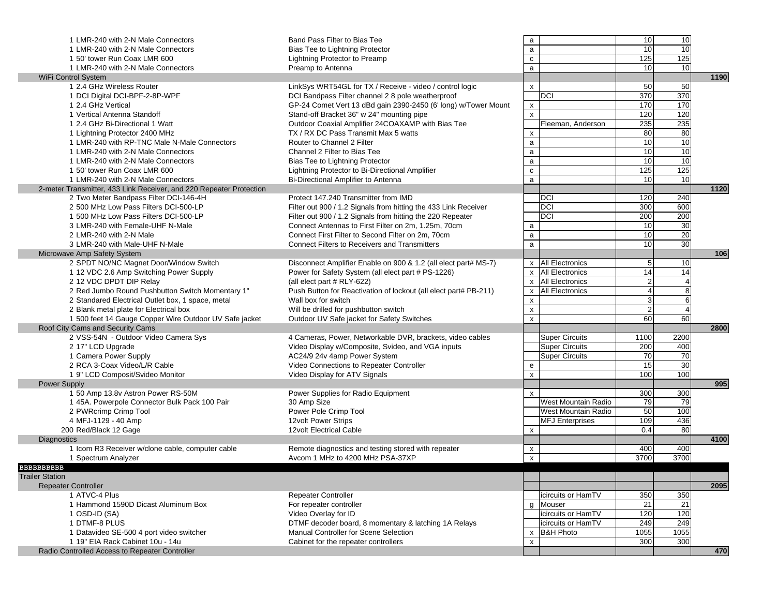| 1 LMR-240 with 2-N Male Connectors                                    | Band Pass Filter to Bias Tee                                                                                          | a                         |                        | 10              | 10              |      |
|-----------------------------------------------------------------------|-----------------------------------------------------------------------------------------------------------------------|---------------------------|------------------------|-----------------|-----------------|------|
| 1 LMR-240 with 2-N Male Connectors                                    | <b>Bias Tee to Lightning Protector</b>                                                                                | $\mathsf{a}$              |                        | $\overline{10}$ | 10              |      |
| 1 50' tower Run Coax LMR 600                                          | Lightning Protector to Preamp                                                                                         | $\mathtt{C}$              |                        | 125             | 125             |      |
| 1 LMR-240 with 2-N Male Connectors                                    | Preamp to Antenna                                                                                                     | $\mathsf{a}$              |                        | $\overline{10}$ | 10              |      |
| WiFi Control System                                                   |                                                                                                                       |                           |                        |                 |                 | 1190 |
| 1 2.4 GHz Wireless Router                                             | LinkSys WRT54GL for TX / Receive - video / control logic                                                              | $\pmb{\chi}$              |                        | 50              | 50              |      |
| 1 DCI Digital DCI-BPF-2-8P-WPF                                        | DCI Bandpass Filter channel 2 8 pole weatherproof                                                                     |                           | DCI                    | 370             | 370             |      |
| 1 2.4 GHz Vertical                                                    | GP-24 Comet Vert 13 dBd gain 2390-2450 (6' long) w/Tower Mount                                                        | X                         |                        | 170             | 170             |      |
| 1 Vertical Antenna Standoff                                           | Stand-off Bracket 36" w 24" mounting pipe                                                                             | $\pmb{\mathsf{x}}$        |                        | 120             | 120             |      |
| 1 2.4 GHz Bi-Directional 1 Watt                                       | Outdoor Coaxial Amplifier 24COAXAMP with Bias Tee                                                                     |                           | Fleeman, Anderson      | 235             | 235             |      |
| 1 Lightning Protector 2400 MHz                                        | TX / RX DC Pass Transmit Max 5 watts                                                                                  | X                         |                        | 80              | 80              |      |
| 1 LMR-240 with RP-TNC Male N-Male Connectors                          | Router to Channel 2 Filter                                                                                            | $\mathsf{a}$              |                        | 10              | 10              |      |
| 1 LMR-240 with 2-N Male Connectors                                    | Channel 2 Filter to Bias Tee                                                                                          | $\mathsf{a}$              |                        | $\overline{10}$ | $\overline{10}$ |      |
| 1 LMR-240 with 2-N Male Connectors                                    | Bias Tee to Lightning Protector                                                                                       | $\mathsf{a}$              |                        | 10              | 10              |      |
| 1 50' tower Run Coax LMR 600                                          | Lightning Protector to Bi-Directional Amplifier                                                                       | ${\bf c}$                 |                        | 125             | 125             |      |
| 1 LMR-240 with 2-N Male Connectors                                    | Bi-Directional Amplifier to Antenna                                                                                   | $\mathsf{a}$              |                        | 10              | 10              |      |
| 2-meter Transmitter, 433 Link Receiver, and 220 Repeater Protection   |                                                                                                                       |                           |                        |                 |                 | 1120 |
| 2 Two Meter Bandpass Filter DCI-146-4H                                | Protect 147.240 Transmitter from IMD                                                                                  |                           | DCI                    | 120             | 240             |      |
| 2 500 MHz Low Pass Filters DCI-500-LP                                 | Filter out 900 / 1.2 Signals from hitting the 433 Link Receiver                                                       |                           | DCI                    | 300             | 600             |      |
| 1 500 MHz Low Pass Filters DCI-500-LP                                 | Filter out 900 / 1.2 Signals from hitting the 220 Repeater                                                            |                           | DCI                    | 200             | 200             |      |
| 3 LMR-240 with Female-UHF N-Male                                      | Connect Antennas to First Filter on 2m, 1.25m, 70cm                                                                   | a                         |                        | $\overline{10}$ | 30              |      |
| 2 LMR-240 with 2-N Male                                               | Connect First Filter to Second Filter on 2m, 70cm                                                                     | a                         |                        | $\overline{10}$ | 20              |      |
| 3 LMR-240 with Male-UHF N-Male                                        | <b>Connect Filters to Receivers and Transmitters</b>                                                                  | $\mathsf{a}$              |                        | 10              | 30              |      |
|                                                                       |                                                                                                                       |                           |                        |                 |                 | 106  |
| Microwave Amp Safety System<br>2 SPDT NO/NC Magnet Door/Window Switch |                                                                                                                       |                           | x All Electronics      | 5               | 10              |      |
|                                                                       | Disconnect Amplifier Enable on 900 & 1.2 (all elect part# MS-7)<br>Power for Safety System (all elect part # PS-1226) | $\mathsf{x}$              | <b>All Electronics</b> | 14              | 14              |      |
| 1 12 VDC 2.6 Amp Switching Power Supply                               |                                                                                                                       |                           |                        |                 | $\overline{4}$  |      |
| 2 12 VDC DPDT DIP Relay                                               | (all elect part # RLY-622)                                                                                            | $\mathsf{x}$              | <b>All Electronics</b> | $\overline{2}$  |                 |      |
| 2 Red Jumbo Round Pushbutton Switch Momentary 1"                      | Push Button for Reactivation of lockout (all elect part# PB-211)                                                      | X                         | <b>All Electronics</b> |                 | 8               |      |
| 2 Standared Electrical Outlet box, 1 space, metal                     | Wall box for switch                                                                                                   | $\boldsymbol{\mathsf{x}}$ |                        | 3               | 6               |      |
| 2 Blank metal plate for Electrical box                                | Will be drilled for pushbutton switch                                                                                 | $\pmb{\mathsf{x}}$        |                        | $\mathfrak{p}$  | $\overline{4}$  |      |
| 1 500 feet 14 Gauge Copper Wire Outdoor UV Safe jacket                | Outdoor UV Safe jacket for Safety Switches                                                                            | $\pmb{\mathsf{x}}$        |                        | 60              | 60              |      |
| Roof City Cams and Security Cams                                      |                                                                                                                       |                           |                        |                 |                 | 2800 |
| 2 VSS-54N - Outdoor Video Camera Sys                                  | 4 Cameras, Power, Networkable DVR, brackets, video cables                                                             |                           | <b>Super Circuits</b>  | 1100            | 2200            |      |
| 2 17" LCD Upgrade                                                     | Video Display w/Composite, Svideo, and VGA inputs                                                                     |                           | <b>Super Circuits</b>  | 200             | 400             |      |
| 1 Camera Power Supply                                                 | AC24/9 24v 4amp Power System                                                                                          |                           | <b>Super Circuits</b>  | $\overline{70}$ | 70              |      |
| 2 RCA 3-Coax Video/L/R Cable                                          | Video Connections to Repeater Controller                                                                              | e                         |                        | 15              | 30              |      |
| 1 9" LCD Composit/Svideo Monitor                                      | Video Display for ATV Signals                                                                                         | $\pmb{\mathsf{x}}$        |                        | 100             | 100             |      |
| <b>Power Supply</b>                                                   |                                                                                                                       |                           |                        |                 |                 | 995  |
| 1 50 Amp 13.8v Astron Power RS-50M                                    | Power Supplies for Radio Equipment                                                                                    | $\mathsf{x}$              |                        | 300             | 300             |      |
| 1 45A. Powerpole Connector Bulk Pack 100 Pair                         | 30 Amp Size                                                                                                           |                           | West Mountain Radio    | 79              | 79              |      |
| 2 PWRcrimp Crimp Tool                                                 | Power Pole Crimp Tool                                                                                                 |                           | West Mountain Radio    | 50              | 100             |      |
| 4 MFJ-1129 - 40 Amp                                                   | 12volt Power Strips                                                                                                   |                           | <b>MFJ</b> Enterprises | 109             | 436             |      |
| 200 Red/Black 12 Gage                                                 | 12volt Electrical Cable                                                                                               | x                         |                        | 0.4             | 80              |      |
| Diagnostics                                                           |                                                                                                                       |                           |                        |                 |                 | 4100 |
| 1 Icom R3 Receiver w/clone cable, computer cable                      | Remote diagnostics and testing stored with repeater                                                                   | x                         |                        | 400             | 400             |      |
| 1 Spectrum Analyzer                                                   | Avcom 1 MHz to 4200 MHz PSA-37XP                                                                                      | $\pmb{\mathsf{x}}$        |                        | 3700            | 3700            |      |
| <b>BBBBBBBBBB</b>                                                     |                                                                                                                       |                           |                        |                 |                 |      |
| <b>Trailer Station</b>                                                |                                                                                                                       |                           |                        |                 |                 |      |
| <b>Repeater Controller</b>                                            |                                                                                                                       |                           |                        |                 |                 | 2095 |
| 1 ATVC-4 Plus                                                         | Repeater Controller                                                                                                   |                           | icircuits or HamTV     | 350             | 350             |      |
| 1 Hammond 1590D Dicast Aluminum Box                                   | For repeater controller                                                                                               | g                         | Mouser                 | $\overline{21}$ | 21              |      |
| 1 OSD-ID (SA)                                                         | Video Overlay for ID                                                                                                  |                           | icircuits or HamTV     | 120             | 120             |      |
| 1 DTMF-8 PLUS                                                         | DTMF decoder board, 8 momentary & latching 1A Relays                                                                  |                           | icircuits or HamTV     | 249             | 249             |      |
| 1 Datavideo SE-500 4 port video switcher                              | Manual Controller for Scene Selection                                                                                 | $\boldsymbol{\mathsf{x}}$ | <b>B&amp;H Photo</b>   | 1055            | 1055            |      |
| 1 19" EIA Rack Cabinet 10u - 14u                                      | Cabinet for the repeater controllers                                                                                  | $\pmb{\chi}$              |                        | 300             | 300             |      |
| Radio Controlled Access to Repeater Controller                        |                                                                                                                       |                           |                        |                 |                 | 470  |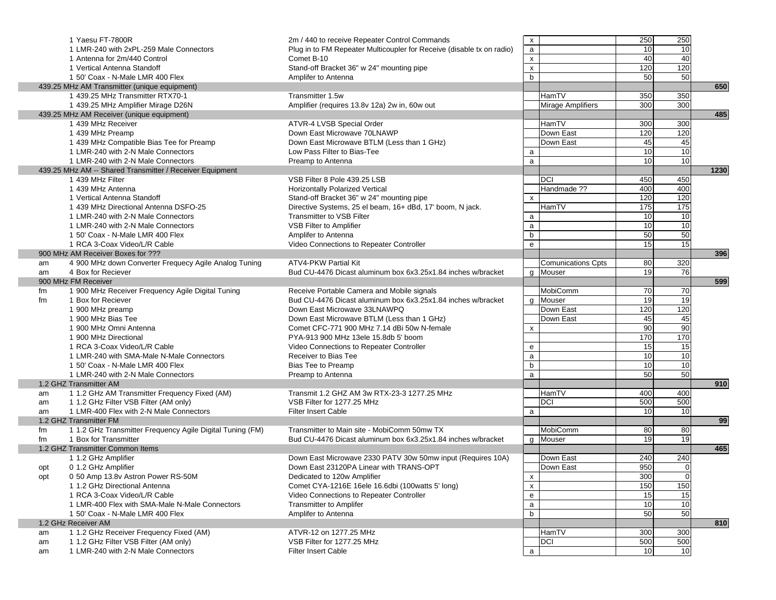|     | 1 Yaesu FT-7800R                                          | 2m / 440 to receive Repeater Control Commands                         | X                         |                           | 250             | 250             |      |
|-----|-----------------------------------------------------------|-----------------------------------------------------------------------|---------------------------|---------------------------|-----------------|-----------------|------|
|     | 1 LMR-240 with 2xPL-259 Male Connectors                   | Plug in to FM Repeater Multicoupler for Receive (disable tx on radio) | $\mathsf{a}$              |                           | 10              | 10              |      |
|     | 1 Antenna for 2m/440 Control                              | Comet B-10                                                            | $\pmb{\mathsf{x}}$        |                           | 40              | 40              |      |
|     | 1 Vertical Antenna Standoff                               | Stand-off Bracket 36" w 24" mounting pipe                             | $\pmb{\mathsf{x}}$        |                           | 120             | 120             |      |
|     | 1 50' Coax - N-Male LMR 400 Flex                          | Amplifer to Antenna                                                   | $\mathsf{b}$              |                           | 50              | 50              |      |
|     | 439.25 MHz AM Transmitter (unique equipment)              |                                                                       |                           |                           |                 |                 | 650  |
|     | 1 439.25 MHz Transmitter RTX70-1                          | Transmitter 1.5w                                                      |                           | HamTV                     | 350             | 350             |      |
|     | 1 439.25 MHz Amplifier Mirage D26N                        | Amplifier (requires 13.8v 12a) 2w in, 60w out                         |                           | <b>Mirage Amplifiers</b>  | 300             | 300             |      |
|     | 439.25 MHz AM Receiver (unique equipment)                 |                                                                       |                           |                           |                 |                 | 485  |
|     | 1 439 MHz Receiver                                        | ATVR-4 LVSB Special Order                                             |                           | HamTV                     | 300             | 300             |      |
|     | 1 439 MHz Preamp                                          | Down East Microwave 70LNAWP                                           |                           | Down East                 | 120             | 120             |      |
|     | 1 439 MHz Compatible Bias Tee for Preamp                  | Down East Microwave BTLM (Less than 1 GHz)                            |                           | Down East                 | 45              | 45              |      |
|     | 1 LMR-240 with 2-N Male Connectors                        | Low Pass Filter to Bias-Tee                                           | a                         |                           | $\overline{10}$ | 10              |      |
|     | 1 LMR-240 with 2-N Male Connectors                        | Preamp to Antenna                                                     | $\mathsf{a}$              |                           | 10              | 10              |      |
|     | 439.25 MHz AM -- Shared Transmitter / Receiver Equipment  |                                                                       |                           |                           |                 |                 | 1230 |
|     | 1 439 MHz Filter                                          | VSB Filter 8 Pole 439.25 LSB                                          |                           | <b>DCI</b>                | 450             | 450             |      |
|     | 1 439 MHz Antenna                                         | <b>Horizontally Polarized Vertical</b>                                |                           | Handmade ??               | 400             | 400             |      |
|     | 1 Vertical Antenna Standoff                               | Stand-off Bracket 36" w 24" mounting pipe                             | $\mathsf{x}$              |                           | 120             | 120             |      |
|     | 1 439 MHz Directional Antenna DSFO-25                     | Directive Systems, 25 el beam, 16+ dBd, 17' boom, N jack.             |                           | HamTV                     | 175             | 175             |      |
|     | 1 LMR-240 with 2-N Male Connectors                        | <b>Transmitter to VSB Filter</b>                                      | a                         |                           | 10              | $\overline{10}$ |      |
|     | 1 LMR-240 with 2-N Male Connectors                        | VSB Filter to Amplifier                                               | $\mathsf{a}$              |                           | $\overline{10}$ | 10              |      |
|     | 1 50' Coax - N-Male LMR 400 Flex                          | Amplifer to Antenna                                                   | $\mathsf b$               |                           | 50              | 50              |      |
|     | 1 RCA 3-Coax Video/L/R Cable                              | Video Connections to Repeater Controller                              | e                         |                           | 15              | 15              |      |
|     | 900 MHz AM Receiver Boxes for ???                         |                                                                       |                           |                           |                 |                 | 396  |
| am  | 4 900 MHz down Converter Frequecy Agile Analog Tuning     | ATV4-PKW Partial Kit                                                  |                           | <b>Comunications Cpts</b> | 80              | 320             |      |
| am  | 4 Box for Reciever                                        | Bud CU-4476 Dicast aluminum box 6x3.25x1.84 inches w/bracket          | g                         | Mouser                    | 19              | $\overline{76}$ |      |
|     | 900 MHz FM Receiver                                       |                                                                       |                           |                           |                 |                 | 599  |
| fm  | 1 900 MHz Receiver Frequency Agile Digital Tuning         | Receive Portable Camera and Mobile signals                            |                           | MobiComm                  | 70              | 70              |      |
| fm  | 1 Box for Reciever                                        | Bud CU-4476 Dicast aluminum box 6x3.25x1.84 inches w/bracket          | q                         | Mouser                    | $\overline{19}$ | 19              |      |
|     |                                                           | Down East Microwave 33LNAWPQ                                          |                           | Down East                 | 120             | 120             |      |
|     | 1 900 MHz preamp                                          |                                                                       |                           |                           |                 |                 |      |
|     | 1 900 MHz Bias Tee                                        | Down East Microwave BTLM (Less than 1 GHz)                            |                           | Down East                 | 45<br>90        | 45<br>90        |      |
|     | 1 900 MHz Omni Antenna                                    | Comet CFC-771 900 MHz 7.14 dBi 50w N-female                           | $\boldsymbol{\mathsf{x}}$ |                           |                 |                 |      |
|     | 1 900 MHz Directional                                     | PYA-913 900 MHz 13ele 15.8db 5' boom                                  |                           |                           | 170             | 170             |      |
|     | 1 RCA 3-Coax Video/L/R Cable                              | Video Connections to Repeater Controller                              | e                         |                           | 15              | 15              |      |
|     | 1 LMR-240 with SMA-Male N-Male Connectors                 | Receiver to Bias Tee                                                  | a                         |                           | $\overline{10}$ | 10              |      |
|     | 1 50' Coax - N-Male LMR 400 Flex                          | <b>Bias Tee to Preamp</b>                                             | $\mathsf{b}$              |                           | 10              | 10              |      |
|     | 1 LMR-240 with 2-N Male Connectors                        | Preamp to Antenna                                                     | $\mathsf{a}$              |                           | 50              | 50              |      |
|     | 1.2 GHZ Transmitter AM                                    |                                                                       |                           |                           |                 |                 | 910  |
| am  | 1 1.2 GHz AM Transmitter Frequency Fixed (AM)             | Transmit 1.2 GHZ AM 3w RTX-23-3 1277.25 MHz                           |                           | HamTV                     | 400             | 400             |      |
| am  | 1 1.2 GHz Filter VSB Filter (AM only)                     | VSB Filter for 1277.25 MHz                                            |                           | <b>DCI</b>                | 500             | 500             |      |
| am  | 1 LMR-400 Flex with 2-N Male Connectors                   | <b>Filter Insert Cable</b>                                            | a                         |                           | 10              | $\overline{10}$ |      |
|     | 1.2 GHZ Transmitter FM                                    |                                                                       |                           |                           |                 |                 | 99   |
| fm  | 1 1.2 GHz Transmitter Frequency Agile Digital Tuning (FM) | Transmitter to Main site - MobiComm 50mw TX                           |                           | MobiComm                  | 80              | 80              |      |
| fm  | 1 Box for Transmitter                                     | Bud CU-4476 Dicast aluminum box 6x3.25x1.84 inches w/bracket          |                           | a Mouser                  | 19              | 19              |      |
|     | 1.2 GHZ Transmitter Common Items                          |                                                                       |                           |                           |                 |                 | 465  |
|     | 1 1.2 GHz Amplifier                                       | Down East Microwave 2330 PATV 30w 50mw input (Requires 10A)           |                           | Down East                 | 240             | 240             |      |
| opt | 0 1.2 GHz Amplifier                                       | Down East 23120PA Linear with TRANS-OPT                               |                           | Down East                 | 950             | $\mathbf 0$     |      |
| opt | 0 50 Amp 13.8v Astron Power RS-50M                        | Dedicated to 120w Amplifier                                           | X                         |                           | 300             |                 |      |
|     | 1 1.2 GHz Directional Antenna                             | Comet CYA-1216E 16ele 16.6dbi (100watts 5' long)                      | $\pmb{\mathsf{x}}$        |                           | 150             | 150             |      |
|     | 1 RCA 3-Coax Video/L/R Cable                              | Video Connections to Repeater Controller                              | ${\bf e}$                 |                           | 15              | 15              |      |
|     | 1 LMR-400 Flex with SMA-Male N-Male Connectors            | Transmitter to Amplifer                                               | $\mathsf{a}$              |                           | 10              | 10              |      |
|     | 1 50' Coax - N-Male LMR 400 Flex                          | Amplifer to Antenna                                                   | $\mathsf b$               |                           | 50              | 50              |      |
|     | 1.2 GHz Receiver AM                                       |                                                                       |                           |                           |                 |                 | 810  |
| am  | 1 1.2 GHz Receiver Frequency Fixed (AM)                   | ATVR-12 on 1277.25 MHz                                                |                           | HamTV                     | 300             | 300             |      |
| am  | 1 1.2 GHz Filter VSB Filter (AM only)                     | VSB Filter for 1277.25 MHz                                            |                           | <b>DCI</b>                | 500             | 500             |      |
| am  | 1 LMR-240 with 2-N Male Connectors                        | <b>Filter Insert Cable</b>                                            | $\mathsf{a}$              |                           | 10              | 10              |      |
|     |                                                           |                                                                       |                           |                           |                 |                 |      |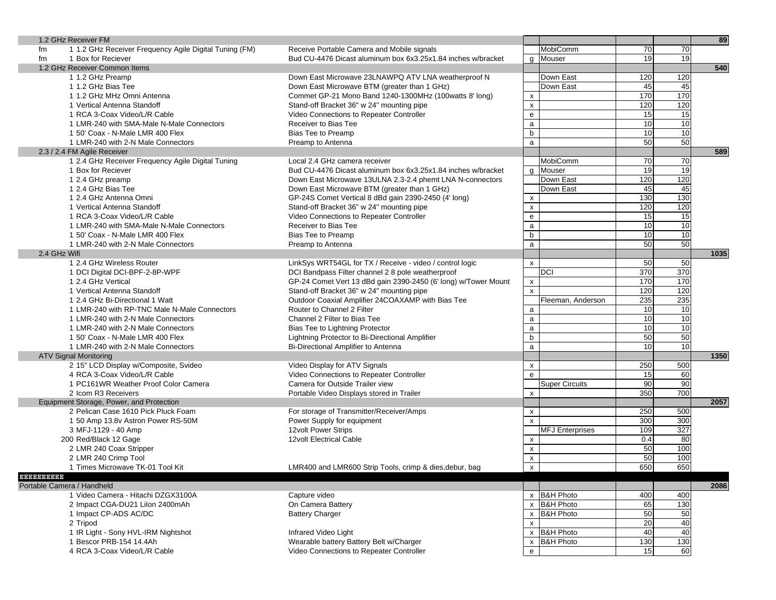|              | 1.2 GHz Receiver FM                                    |                                                                |                                                   |     |     | 89   |
|--------------|--------------------------------------------------------|----------------------------------------------------------------|---------------------------------------------------|-----|-----|------|
| fm           | 1 1.2 GHz Receiver Frequency Agile Digital Tuning (FM) | Receive Portable Camera and Mobile signals                     | MobiComm                                          | 70  | 70  |      |
| fm           | 1 Box for Reciever                                     | Bud CU-4476 Dicast aluminum box 6x3.25x1.84 inches w/bracket   | $\overline{q}$ Mouser                             | 19  | 19  |      |
|              | 1.2 GHz Receiver Common Items                          |                                                                |                                                   |     |     | 540  |
|              | 1 1.2 GHz Preamp                                       | Down East Microwave 23LNAWPQ ATV LNA weatherproof N            | Down East                                         | 120 | 120 |      |
|              | 1 1.2 GHz Bias Tee                                     | Down East Microwave BTM (greater than 1 GHz)                   | Down East                                         | 45  | 45  |      |
|              | 1 1.2 GHz MHz Omni Antenna                             | Commet GP-21 Mono Band 1240-1300MHz (100watts 8' long)         | X                                                 | 170 | 170 |      |
|              | 1 Vertical Antenna Standoff                            | Stand-off Bracket 36" w 24" mounting pipe                      | $\pmb{\times}$                                    | 120 | 120 |      |
|              | 1 RCA 3-Coax Video/L/R Cable                           | Video Connections to Repeater Controller                       | $\mathsf{e}% _{t}\left( \mathsf{e}\right)$        | 15  | 15  |      |
|              | 1 LMR-240 with SMA-Male N-Male Connectors              | Receiver to Bias Tee                                           | $\mathsf a$                                       | 10  | 10  |      |
|              | 1 50' Coax - N-Male LMR 400 Flex                       | Bias Tee to Preamp                                             | b                                                 | 10  | 10  |      |
|              | 1 LMR-240 with 2-N Male Connectors                     | Preamp to Antenna                                              | $\mathsf{a}$                                      | 50  | 50  |      |
|              | 2.3 / 2.4 FM Agile Receiver                            |                                                                |                                                   |     |     | 589  |
|              | 1 2.4 GHz Receiver Frequency Agile Digital Tuning      | Local 2.4 GHz camera receiver                                  | <b>MobiComm</b>                                   | 70  | 70  |      |
|              | 1 Box for Reciever                                     | Bud CU-4476 Dicast aluminum box 6x3.25x1.84 inches w/bracket   | g Mouser                                          | 19  | 19  |      |
|              | 1 2.4 GHz preamp                                       | Down East Microwave 13ULNA 2.3-2.4 phemt LNA N-connectors      | Down East                                         | 120 | 120 |      |
|              | 1 2.4 GHz Bias Tee                                     | Down East Microwave BTM (greater than 1 GHz)                   | Down East                                         | 45  | 45  |      |
|              |                                                        |                                                                |                                                   | 130 | 130 |      |
|              | 1 2.4 GHz Antenna Omni                                 | GP-24S Comet Vertical 8 dBd gain 2390-2450 (4' long)           | $\pmb{\times}$                                    |     |     |      |
|              | 1 Vertical Antenna Standoff                            | Stand-off Bracket 36" w 24" mounting pipe                      | $\pmb{\times}$                                    | 120 | 120 |      |
|              | 1 RCA 3-Coax Video/L/R Cable                           | Video Connections to Repeater Controller                       | ${\bf e}$                                         | 15  | 15  |      |
|              | 1 LMR-240 with SMA-Male N-Male Connectors              | Receiver to Bias Tee                                           | a                                                 | 10  | 10  |      |
|              | 1 50' Coax - N-Male LMR 400 Flex                       | Bias Tee to Preamp                                             | b                                                 | 10  | 10  |      |
|              | 1 LMR-240 with 2-N Male Connectors                     | Preamp to Antenna                                              | $\mathsf{a}$                                      | 50  | 50  |      |
| 2.4 GHz Wifi |                                                        |                                                                |                                                   |     |     | 1035 |
|              | 1 2.4 GHz Wireless Router                              | LinkSys WRT54GL for TX / Receive - video / control logic       | $\pmb{\chi}$                                      | 50  | 50  |      |
|              | 1 DCI Digital DCI-BPF-2-8P-WPF                         | DCI Bandpass Filter channel 2 8 pole weatherproof              | <b>DCI</b>                                        | 370 | 370 |      |
|              | 1 2.4 GHz Vertical                                     | GP-24 Comet Vert 13 dBd gain 2390-2450 (6' long) w/Tower Mount | $\pmb{\mathsf{X}}$                                | 170 | 170 |      |
|              | 1 Vertical Antenna Standoff                            | Stand-off Bracket 36" w 24" mounting pipe                      | $\pmb{\times}$                                    | 120 | 120 |      |
|              | 1 2.4 GHz Bi-Directional 1 Watt                        | Outdoor Coaxial Amplifier 24COAXAMP with Bias Tee              | Fleeman, Anderson                                 | 235 | 235 |      |
|              | 1 LMR-240 with RP-TNC Male N-Male Connectors           | Router to Channel 2 Filter                                     | $\mathsf{a}$                                      | 10  | 10  |      |
|              | 1 LMR-240 with 2-N Male Connectors                     | Channel 2 Filter to Bias Tee                                   | $\mathsf{a}$                                      | 10  | 10  |      |
|              | 1 LMR-240 with 2-N Male Connectors                     | Bias Tee to Lightning Protector                                | $\mathsf{a}$                                      | 10  | 10  |      |
|              | 1 50' Coax - N-Male LMR 400 Flex                       | Lightning Protector to Bi-Directional Amplifier                | b                                                 | 50  | 50  |      |
|              | 1 LMR-240 with 2-N Male Connectors                     | Bi-Directional Amplifier to Antenna                            | $\mathsf{a}$                                      | 10  | 10  |      |
|              | <b>ATV Signal Monitoring</b>                           |                                                                |                                                   |     |     | 1350 |
|              | 2 15" LCD Display w/Composite, Svideo                  | Video Display for ATV Signals                                  | X                                                 | 250 | 500 |      |
|              | 4 RCA 3-Coax Video/L/R Cable                           | Video Connections to Repeater Controller                       | $\mathbf{e}$                                      | 15  | 60  |      |
|              | 1 PC161WR Weather Proof Color Camera                   | Camera for Outside Trailer view                                | <b>Super Circuits</b>                             | 90  | 90  |      |
|              | 2 Icom R3 Receivers                                    | Portable Video Displays stored in Trailer                      | X                                                 | 350 | 700 |      |
|              | Equipment Storage, Power, and Protection               |                                                                |                                                   |     |     | 2057 |
|              | 2 Pelican Case 1610 Pick Pluck Foam                    | For storage of Transmitter/Receiver/Amps                       | $\pmb{\chi}$                                      | 250 | 500 |      |
|              | 1 50 Amp 13.8v Astron Power RS-50M                     | Power Supply for equipment                                     | $\mathsf{x}$                                      | 300 | 300 |      |
|              | 3 MFJ-1129 - 40 Amp                                    | 12volt Power Strips                                            | <b>MFJ Enterprises</b>                            | 109 | 327 |      |
|              | 200 Red/Black 12 Gage                                  | <b>12volt Electrical Cable</b>                                 | $\pmb{\mathsf{x}}$                                | 0.4 | 80  |      |
|              | 2 LMR 240 Coax Stripper                                |                                                                | $\pmb{\times}$                                    | 50  | 100 |      |
|              | 2 LMR 240 Crimp Tool                                   |                                                                | $\pmb{\mathsf{x}}$                                | 50  | 100 |      |
|              | 1 Times Microwave TK-01 Tool Kit                       | LMR400 and LMR600 Strip Tools, crimp & dies, debur, bag        | $\mathsf{x}$                                      | 650 | 650 |      |
| 8888888888   |                                                        |                                                                |                                                   |     |     |      |
|              | Portable Camera / Handheld                             |                                                                |                                                   |     |     | 2086 |
|              | 1 Video Camera - Hitachi DZGX3100A                     | Capture video                                                  | x B&H Photo                                       | 400 | 400 |      |
|              | 2 Impact CGA-DU21 Lilon 2400mAh                        | On Camera Battery                                              | <b>B&amp;H Photo</b><br>X                         | 65  | 130 |      |
|              | 1 Impact CP-ADS AC/DC                                  | <b>Battery Charger</b>                                         | <b>B&amp;H Photo</b><br>X                         | 50  | 50  |      |
|              | 2 Tripod                                               |                                                                | $\pmb{\chi}$                                      | 20  | 40  |      |
|              | 1 IR Light - Sony HVL-IRM Nightshot                    | Infrared Video Light                                           | <b>B&amp;H Photo</b><br>$\boldsymbol{\mathsf{x}}$ | 40  | 40  |      |
|              | 1 Bescor PRB-154 14.4Ah                                | Wearable battery Battery Belt w/Charger                        | <b>B&amp;H Photo</b><br>X                         | 130 | 130 |      |
|              | 4 RCA 3-Coax Video/L/R Cable                           | Video Connections to Repeater Controller                       | ${\bf e}$                                         | 15  | 60  |      |
|              |                                                        |                                                                |                                                   |     |     |      |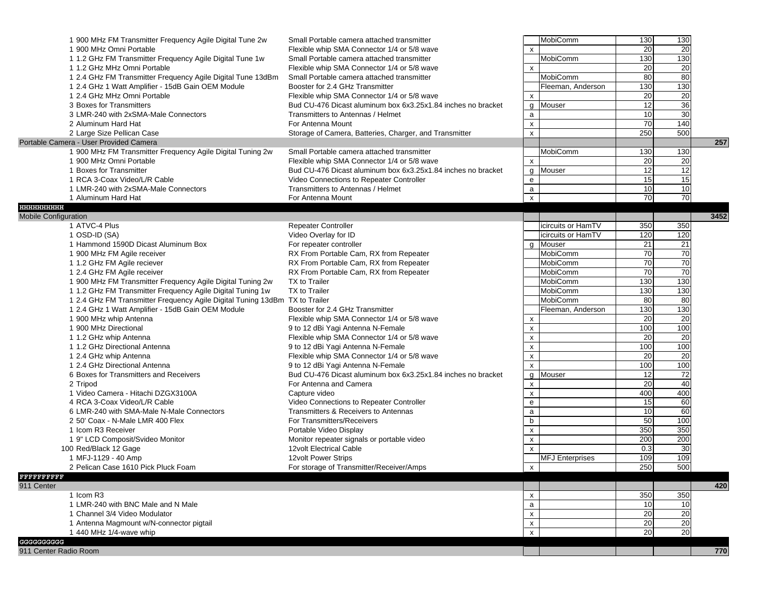|                             | 1 900 MHz FM Transmitter Frequency Agile Digital Tune 2w<br>1 900 MHz Omni Portable                                                                    | Small Portable camera attached transmitter<br>Flexible whip SMA Connector 1/4 or 5/8 wave                                               | $\boldsymbol{\mathsf{x}}$            | MobiComm<br>MobiComm   | 130<br>20<br>130       | 130<br>20<br>130 |      |
|-----------------------------|--------------------------------------------------------------------------------------------------------------------------------------------------------|-----------------------------------------------------------------------------------------------------------------------------------------|--------------------------------------|------------------------|------------------------|------------------|------|
|                             | 1 1.2 GHz FM Transmitter Frequency Agile Digital Tune 1w<br>1 1.2 GHz MHz Omni Portable<br>1 2.4 GHz FM Transmitter Frequency Agile Digital Tune 13dBm | Small Portable camera attached transmitter<br>Flexible whip SMA Connector 1/4 or 5/8 wave<br>Small Portable camera attached transmitter | $\pmb{\mathsf{x}}$                   | MobiComm               | 20<br>80               | 20<br>80         |      |
|                             | 1 2.4 GHz 1 Watt Amplifier - 15dB Gain OEM Module<br>1 2.4 GHz MHz Omni Portable                                                                       | Booster for 2.4 GHz Transmitter<br>Flexible whip SMA Connector 1/4 or 5/8 wave                                                          |                                      | Fleeman, Anderson      | 130<br>20              | 130<br>20        |      |
|                             | 3 Boxes for Transmitters                                                                                                                               | Bud CU-476 Dicast aluminum box 6x3.25x1.84 inches no bracket                                                                            | $\pmb{\chi}$<br>g                    | Mouser                 | 12                     | 36               |      |
|                             | 3 LMR-240 with 2xSMA-Male Connectors                                                                                                                   | Transmitters to Antennas / Helmet                                                                                                       | $\mathsf{a}$                         |                        | 10                     | 30               |      |
|                             | 2 Aluminum Hard Hat                                                                                                                                    | For Antenna Mount                                                                                                                       | $\pmb{\mathsf{x}}$<br>$\pmb{\times}$ |                        | $\overline{70}$<br>250 | 140<br>500       |      |
|                             | 2 Large Size Pellican Case<br>Portable Camera - User Provided Camera                                                                                   | Storage of Camera, Batteries, Charger, and Transmitter                                                                                  |                                      |                        |                        |                  | 257  |
|                             | 1 900 MHz FM Transmitter Frequency Agile Digital Tuning 2w                                                                                             | Small Portable camera attached transmitter                                                                                              |                                      | MobiComm               | 130                    | 130              |      |
|                             | 1 900 MHz Omni Portable                                                                                                                                | Flexible whip SMA Connector 1/4 or 5/8 wave                                                                                             | $\pmb{\mathsf{x}}$                   |                        | 20                     | 20               |      |
|                             | 1 Boxes for Transmitter                                                                                                                                | Bud CU-476 Dicast aluminum box 6x3.25x1.84 inches no bracket                                                                            | g                                    | Mouser                 | 12                     | 12               |      |
|                             | 1 RCA 3-Coax Video/L/R Cable                                                                                                                           | Video Connections to Repeater Controller                                                                                                | ${\bf e}$                            |                        | 15                     | 15               |      |
|                             | 1 LMR-240 with 2xSMA-Male Connectors                                                                                                                   | Transmitters to Antennas / Helmet                                                                                                       | $\mathsf{a}$                         |                        | 10                     | 10               |      |
| 888888888888                | 1 Aluminum Hard Hat                                                                                                                                    | For Antenna Mount                                                                                                                       | $\pmb{\mathsf{x}}$                   |                        | 70                     | 70               |      |
| <b>Mobile Configuration</b> |                                                                                                                                                        |                                                                                                                                         |                                      |                        |                        |                  | 3452 |
|                             | 1 ATVC-4 Plus                                                                                                                                          | <b>Repeater Controller</b>                                                                                                              |                                      | icircuits or HamTV     | 350                    | 350              |      |
|                             | 1 OSD-ID (SA)                                                                                                                                          | Video Overlay for ID                                                                                                                    |                                      | icircuits or HamTV     | 120                    | 120              |      |
|                             | 1 Hammond 1590D Dicast Aluminum Box                                                                                                                    | For repeater controller                                                                                                                 |                                      | g Mouser               | 21                     | 21               |      |
|                             | 1 900 MHz FM Agile receiver                                                                                                                            | RX From Portable Cam, RX from Repeater                                                                                                  |                                      | MobiComm               | 70                     | 70               |      |
|                             | 1 1.2 GHz FM Agile reciever                                                                                                                            | RX From Portable Cam, RX from Repeater                                                                                                  |                                      | <b>MobiComm</b>        | 70                     | 70               |      |
|                             | 1 2.4 GHz FM Agile receiver                                                                                                                            | RX From Portable Cam, RX from Repeater                                                                                                  |                                      | MobiComm               | $\overline{70}$        | 70               |      |
|                             | 1 900 MHz FM Transmitter Frequency Agile Digital Tuning 2w                                                                                             | TX to Trailer                                                                                                                           |                                      | MobiComm<br>MobiComm   | 130                    | 130              |      |
|                             | 1 1.2 GHz FM Transmitter Frequency Agile Digital Tuning 1w<br>1 2.4 GHz FM Transmitter Frequency Agile Digital Tuning 13dBm TX to Trailer              | TX to Trailer                                                                                                                           |                                      | MobiComm               | 130<br>80              | 130<br>80        |      |
|                             | 1 2.4 GHz 1 Watt Amplifier - 15dB Gain OEM Module                                                                                                      | Booster for 2.4 GHz Transmitter                                                                                                         |                                      | Fleeman, Anderson      | 130                    | 130              |      |
|                             | 1 900 MHz whip Antenna                                                                                                                                 | Flexible whip SMA Connector 1/4 or 5/8 wave                                                                                             | х                                    |                        | 20                     | 20               |      |
|                             | 1 900 MHz Directional                                                                                                                                  | 9 to 12 dBi Yagi Antenna N-Female                                                                                                       | X                                    |                        | 100                    | 100              |      |
|                             | 1 1.2 GHz whip Antenna                                                                                                                                 | Flexible whip SMA Connector 1/4 or 5/8 wave                                                                                             | $\pmb{\mathsf{x}}$                   |                        | 20                     | 20               |      |
|                             | 1 1.2 GHz Directional Antenna                                                                                                                          | 9 to 12 dBi Yagi Antenna N-Female                                                                                                       | $\pmb{\mathsf{x}}$                   |                        | 100                    | 100              |      |
|                             | 1 2.4 GHz whip Antenna                                                                                                                                 | Flexible whip SMA Connector 1/4 or 5/8 wave                                                                                             | $\pmb{\mathsf{x}}$                   |                        | 20                     | 20               |      |
|                             | 1 2.4 GHz Directional Antenna                                                                                                                          | 9 to 12 dBi Yagi Antenna N-Female                                                                                                       | $\pmb{\chi}$                         |                        | 100                    | 100              |      |
|                             | 6 Boxes for Transmitters and Receivers                                                                                                                 | Bud CU-476 Dicast aluminum box 6x3.25x1.84 inches no bracket                                                                            | g                                    | Mouser                 | 12                     | 72               |      |
|                             | 2 Tripod                                                                                                                                               | For Antenna and Camera                                                                                                                  | $\pmb{\mathsf{x}}$                   |                        | 20                     | 40               |      |
|                             | 1 Video Camera - Hitachi DZGX3100A                                                                                                                     | Capture video                                                                                                                           | $\pmb{\mathsf{x}}$                   |                        | 400                    | 400              |      |
|                             | 4 RCA 3-Coax Video/L/R Cable                                                                                                                           | Video Connections to Repeater Controller                                                                                                | e                                    |                        | 15                     | 60               |      |
|                             | 6 LMR-240 with SMA-Male N-Male Connectors                                                                                                              | Transmitters & Receivers to Antennas                                                                                                    | $\mathsf{a}$                         |                        | $\overline{10}$        | 60               |      |
|                             | 2 50' Coax - N-Male LMR 400 Flex                                                                                                                       | For Transmitters/Receivers                                                                                                              | $\mathsf b$                          |                        | 50                     | 100              |      |
|                             | 1 Icom R3 Receiver                                                                                                                                     | Portable Video Display                                                                                                                  | $\pmb{\mathsf{x}}$                   |                        | 350                    | 350              |      |
|                             | 1 9" LCD Composit/Svideo Monitor                                                                                                                       | Monitor repeater signals or portable video                                                                                              | $\pmb{\mathsf{x}}$                   |                        | 200                    | 200              |      |
|                             | 100 Red/Black 12 Gage<br>1 MFJ-1129 - 40 Amp                                                                                                           | 12volt Electrical Cable<br>12volt Power Strips                                                                                          | $\pmb{\times}$                       | <b>MFJ Enterprises</b> | 0.3<br>109             | 30<br>109        |      |
|                             | 2 Pelican Case 1610 Pick Pluck Foam                                                                                                                    | For storage of Transmitter/Receiver/Amps                                                                                                | $\mathsf{x}$                         |                        | 250                    | 500              |      |
| <b>FFFFFFFFFF</b>           |                                                                                                                                                        |                                                                                                                                         |                                      |                        |                        |                  |      |
| 911 Center                  |                                                                                                                                                        |                                                                                                                                         |                                      |                        |                        |                  | 420  |
|                             | 1 Icom R3                                                                                                                                              |                                                                                                                                         | X                                    |                        | 350                    | 350              |      |
|                             | 1 LMR-240 with BNC Male and N Male                                                                                                                     |                                                                                                                                         | a                                    |                        | 10                     | 10               |      |
|                             | 1 Channel 3/4 Video Modulator                                                                                                                          |                                                                                                                                         | X                                    |                        | 20                     | $\overline{20}$  |      |
|                             | 1 Antenna Magmount w/N-connector pigtail<br>1 440 MHz 1/4-wave whip                                                                                    |                                                                                                                                         | X<br>$\pmb{\mathsf{x}}$              |                        | $\overline{20}$<br>20  | 20<br>20         |      |
| GGGGGGGGGG                  |                                                                                                                                                        |                                                                                                                                         |                                      |                        |                        |                  |      |
| 911 Center Radio Room       |                                                                                                                                                        |                                                                                                                                         |                                      |                        |                        |                  | 770  |